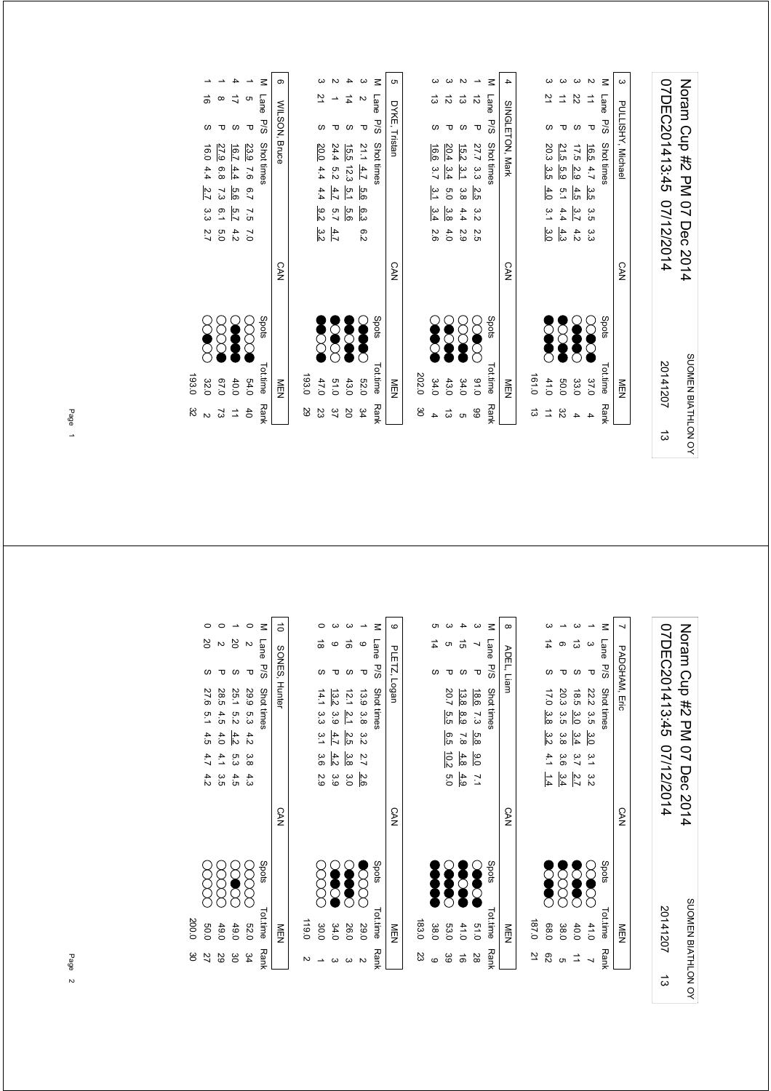| 20141207           | 07DEC201413:45 07/12/2014   |
|--------------------|-----------------------------|
| SUOMEN BIATHLON OY | Noram Cup #2 PM 07 Dec 2014 |

|        | <br> <br> <br> <br> | $\ddot{\phantom{0}}$ |            |                                    | )<br>2<br>2<br>2<br>2<br>2<br>2<br>2<br>2<br> |                   | $\ddot{\phantom{a}}$ |
|--------|---------------------|----------------------|------------|------------------------------------|-----------------------------------------------|-------------------|----------------------|
|        | NEN                 |                      | <b>CAN</b> |                                    |                                               | SINGLETON, Mark   | 4                    |
| م<br>م | 161.0               |                      |            |                                    |                                               |                   |                      |
|        | 41.0                | <b>DOOD</b>          |            | $\frac{3.1}{2}$<br>$\frac{3.0}{2}$ | 20.3 3.5 4.0                                  |                   |                      |
| ŠΣ     | 0.03                | <b>SSS</b>           |            | $\frac{5}{1}$<br>4.4<br>4.3        | 21.5<br>5.9                                   |                   |                      |
|        | 33.0                | <b>Second</b>        |            | 4.5<br>3.7<br>4.2                  | 17.5 2.9                                      | Z2                |                      |
|        | 37.0                | E                    |            | မ္မ<br>3.5 3.3                     | 16.5 4.7                                      |                   |                      |
|        | Tot.time Rank       | Spots                |            |                                    | Lane P/S Shot times                           |                   | $\leq$               |
|        | NEN<br>D            |                      | <b>CAN</b> |                                    |                                               | PULLISHY, Michael | -<br>ຜ               |
|        |                     |                      |            |                                    |                                               |                   |                      |

|                                                   |                         | $\leq$              | <sub>ហ</sub>  |       |                 |      |               |                                                                  | $\leq$         |                 |
|---------------------------------------------------|-------------------------|---------------------|---------------|-------|-----------------|------|---------------|------------------------------------------------------------------|----------------|-----------------|
| $\sharp$                                          | $\mathbf{v}$            |                     |               |       | ದ               | ಸ    | ದ             | ಸ                                                                | Lane           |                 |
| $\omega$                                          | $\mathbf{\overline{v}}$ | Lane P/S Shot times | DYKE, Tristan |       |                 |      |               | τ                                                                | P/S Shot times | SINGLETON, Mark |
| $21.1$ $4.7$ $5.6$ $6.3$<br>15.5 12.3 $5.1$ $5.6$ |                         |                     |               |       | 16.6            |      |               | $\frac{7}{15.2}$ 3.3 $\le$ $\frac{3.3}{4}$ 5.8 4.4 $\frac{4}{3}$ |                |                 |
|                                                   |                         |                     |               |       |                 |      |               |                                                                  |                |                 |
|                                                   |                         |                     |               |       | 3.7 3.1 3.4 2.6 |      |               |                                                                  |                |                 |
|                                                   |                         |                     |               |       |                 |      |               |                                                                  |                |                 |
|                                                   | 6.2                     |                     |               |       |                 | 4.0  | 2.9           | Σ.<br>Ω                                                          |                |                 |
|                                                   |                         |                     | <b>CAN</b>    |       |                 |      |               |                                                                  |                | <b>CAN</b>      |
| <b>SCAR</b>                                       | Š                       | Spots               |               |       | Society         | Ş    | 3             | $\sum_{i=1}^{n}$                                                 | Spots          |                 |
|                                                   | 52.0                    | Tot.time Rank       | NEN<br>D      | 202.0 | 34.0            | 43.0 | 34.0          | 01.0                                                             | Tottime        | NEN             |
| 43.0 20                                           | $\frac{34}{4}$          |                     |               | မ္မ   |                 | ದ    | <sub>ຕາ</sub> | 66                                                               | Rank           |                 |

| ۱<br>و             |                                                                                             |                      |                     |               |       |                   |             |               |               |
|--------------------|---------------------------------------------------------------------------------------------|----------------------|---------------------|---------------|-------|-------------------|-------------|---------------|---------------|
| J                  |                                                                                             |                      |                     |               |       |                   |             |               |               |
|                    | $\frac{16.7}{22.6}$ $\frac{4.4}{2.6}$ $\frac{5.6}{2.7}$ $\frac{5.6}{2.7}$ $\frac{5.7}{2.7}$ | 23.9 7.6 6.7 7.5 7.0 | Lane P/S Shot times | WILSON, Bruce |       | 20.0 4.4 4.4      | 24.4        | 15.5 12.3     | $21.1 \, 4.7$ |
|                    |                                                                                             |                      |                     |               |       |                   | $+ 5.2$     |               |               |
|                    |                                                                                             |                      |                     |               |       |                   | 4.7         | $\frac{5}{1}$ | 9.6           |
|                    |                                                                                             |                      |                     |               |       | $\frac{9.2}{2}$   |             | 5.6<br>7.6    | 6.3           |
|                    | 4.2                                                                                         |                      |                     |               |       | $\frac{4.7}{3.2}$ |             |               | e.z           |
|                    |                                                                                             |                      |                     | <b>CAN</b>    |       |                   |             |               |               |
| $\left\{ \right\}$ | S                                                                                           |                      | Spots               |               |       | <b>SCORE</b>      | <b>SCCC</b> | $\frac{1}{2}$ | <b>Second</b> |
| )<br>1             | 40.0                                                                                        | 54.0                 | Tot.time Rank       | MEN           | 193.0 | 47.0              | 0.10        | 43.0          | <b>52.0</b>   |
|                    | $\frac{1}{2}$                                                                               | 40                   |                     |               | 29    | ΣS                | 37          | 2O            | 34            |

 $\overline{\phantom{a}}$  $\overline{a}$ 1 16 2.1 4.4  $2.7$  3.3 2.7 ( X X 2.0 2.0 2.1 16 2.1 16 2.1 16 2.1 16 2.1 16 2.1 16 2.1 16 2.1 16 2.1 16 2.1 16 2.1 16 2.1 16 2.1 16 2.1 16 2.1 16 2.1 16 2.1 16 2.1 16 2.1 16 2.1 16 2.1 16 2.1 16 2.1 16 2.1 16 2.1 16 2.1 1 1 8 P 27.9 8.8 7.3 6.1 8 P 27.9 8.9 8.2 2.3 P 37.0 7.3  $\vec{a}$   $\alpha$ ω τ  $\frac{27.9}{16.0}$  6.8 7.3 6.1 5.0<br>16.0 4.4 <u>2.7</u> 3.3 2.7 8888  $67.0$  73<br>32.0 2<br>193.0 32 193.0 32

> M Lane P/S Shottimes<br>
> 1 3 P 222 3.5 3<u>.0</u> 3.1 3.2<br>
> 3 13 S 18.5 3.<u>0 3.4</u><br>
> 1 3 P 20.3 3.5 3.8 3.6 <u>3.4</u><br>
> 1 6 P 20.3 3.5 3.8 3.6 3.4<br>
> 3 14 S 17.0 <u>3.8 3.2</u> 4.1 1.4 1 3 P 22.2 3.5 3.1 3.2 3.1 3.2 C X X X 2.1.0 7 3 13 S. 3.9 3.9  $\bullet$  2.7  $2.7$  2.7  $2.7$   $2.7$   $3.4$  3.7  $2.7$ 5 3.4 3.6 3.5 38.0 3.8 1 6 P 20.3

| 21            | 187.0               |              |                                                   |            |      |   |
|---------------|---------------------|--------------|---------------------------------------------------|------------|------|---|
| 82            | 68.0                |              | 17.0 3.8<br>$\frac{3}{2}$<br>$4.1$ $1.4$          | ပ          | 14   | ω |
| <sub>თ</sub>  |                     |              | 20.3 3.5 3.8                                      |            |      |   |
| $\frac{1}{2}$ | $\frac{40.0}{38.0}$ | 8888<br>8888 | 18.5 3.0<br>$\frac{3.4}{5}$ 3.7 $\frac{2.7}{3.6}$ | S          | ದ    | ω |
|               | 41.0                |              | 22.2 3.5 3.0<br>$3.1$ 3.2                         | Δ          |      |   |
| <b>Rank</b>   | Tot.time            | Spots        | Shot times                                        | <b>P/S</b> | Lane | ≊ |

SUOMEN BIATHLON OY

SUOMEN BIATHLON OY

20141207

ದ

07DEC201413:45 07/12/2014 Noram Cup #2 PM 07 Dec 2014

07DEC201413:45 07/12/2014 Noram Cup #2 PM 07 Dec 2014

7 PADGHAM, Eric

PADGHAM, Eric

CAN

MEN

Tot.time Rank

|       |      |                  |                 |               | Ξ             | $\infty$   |
|-------|------|------------------|-----------------|---------------|---------------|------------|
|       |      |                  | ี่ต่            |               |               |            |
|       |      |                  |                 |               | Lane P/S      | ADEL, Liam |
|       |      | 20.7 5.5         | 13.8            | 18.6 7.3 5.8  | Shot times    |            |
|       |      |                  |                 |               |               |            |
|       |      | .<br>თ<br>მ      | 8.9 7.8         |               |               |            |
|       |      | $\frac{10.2}{2}$ | $\frac{4.8}{8}$ | 0.0           |               |            |
|       |      | io<br>C          | 4.3             | $\frac{1}{2}$ |               |            |
|       |      |                  |                 |               |               | <b>CAN</b> |
|       |      |                  |                 |               |               |            |
|       | Į    | <b>SASE</b>      | <b>Second</b>   | S             | Spots         |            |
|       |      |                  |                 |               |               |            |
| 183.0 | 38.0 | 53.0             | 41.0            | 0.10          | Tot.time Rank | NEN        |
| ಜ     |      | <u>జ</u>         | ಕ               | 28            |               |            |

| 119.0         |                |            |         |     |                  |                     |              |                    |   |
|---------------|----------------|------------|---------|-----|------------------|---------------------|--------------|--------------------|---|
| 30.0          |                |            | 2.9     |     |                  | 14.1 3.3 3.1 3.6    |              | $\frac{1}{\infty}$ |   |
| 34.0          | S              |            | ပ<br>၁၀ | 4.2 | 4.7              | 13.2 3.9            |              | O                  |   |
| 26.0          | <b>Seed</b>    |            | 3.0     |     | 2.5 3.8          | $12.1$ $2.1$        |              | d)                 |   |
| 29.0          | $\sum_{i=1}^n$ |            | 2.6     |     | 13.9 3.8 3.2 2.7 |                     | ᠊ᠣ           |                    |   |
| Tot.time Rank | Spots          |            |         |     |                  | Lane P/S Shot times |              |                    |   |
| MEN<br>D      |                | <b>CAN</b> |         |     |                  |                     | PLETZ, Logan |                    | c |

|       |                  |             |          |                  | $\leq$        | $\vec{0}$     |
|-------|------------------|-------------|----------|------------------|---------------|---------------|
|       | ğ                |             | 20       | N                | Lane          |               |
|       |                  |             |          | τ                | <b>P/S</b>    |               |
|       | 27.6 5.1 4.5 4.7 | 28.5 4.5    | 25.1 5.2 |                  | Shot times    | SONES, Hunter |
|       |                  |             |          |                  |               |               |
|       |                  |             | 4.2      | 29.9 5.3 4.2 3.8 |               |               |
|       |                  | 4.0 4.1 3.5 | 5.a      |                  |               |               |
|       | 4.2              |             | 4.5      | 4.3              |               |               |
|       |                  |             |          |                  |               | <b>CAN</b>    |
|       | 8<br>8           |             |          |                  | spots         |               |
| 200.0 | 0.05             | 49.0        | 49.0     | 52.0             | Tot.time Rank | 三四            |
| မ္မ   | 27               | 29          | မ္မ      | 34               |               |               |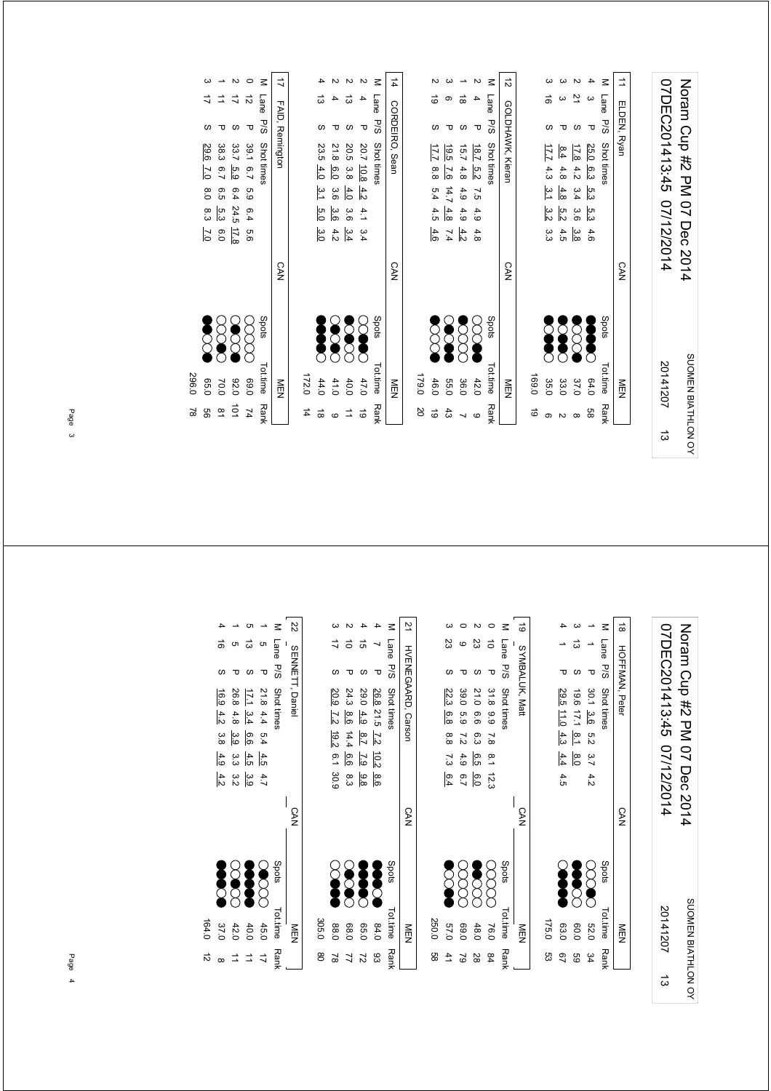| 07DEC201413:45 07/12/2014 | Noram Cup #2 PM 07 Dec 2014 |
|---------------------------|-----------------------------|
| 20141207                  | SUOMEN BIATHLON OY          |
|                           |                             |

| $\vec{v}$        |       | 31                    |                 |      |                | Μ             | $\overrightarrow{=}$ |
|------------------|-------|-----------------------|-----------------|------|----------------|---------------|----------------------|
|                  |       |                       | ω               |      | ω              | Lane          |                      |
| GOLDHAWK, Kieran |       |                       |                 |      | Δ              | e<br>P/S      | ELDEN, Ryan          |
|                  |       |                       | $\frac{8.4}{ }$ | 17.8 | 25.0           | Shot times    |                      |
|                  |       |                       | $4.8$           | 4.2  |                |               |                      |
|                  |       | $17.74.3$ 3.1 3.2 3.3 | $\frac{4.8}{2}$ | 3.4  | $6.3\quad 5.3$ |               |                      |
|                  |       |                       | 5.2             | 3.6  | က်<br>လ        |               |                      |
|                  |       |                       | 4.5             | မ္မ  | 4.6            |               |                      |
| <b>CAN</b>       |       |                       |                 |      |                |               | <b>CAN</b>           |
|                  |       | <b>DOOR</b>           | Š               | SCCC | Š              | Spots         |                      |
|                  |       |                       |                 |      |                |               |                      |
| MEN              | 169.0 | 35.0                  | 33.0            | 37.0 | 64.0           | Tot.time Rank | NEN                  |
|                  | ಕ     |                       |                 |      | 8g             |               |                      |

|                  |       |                  |               |                  |                  | $\leq$              | $-12$                    |
|------------------|-------|------------------|---------------|------------------|------------------|---------------------|--------------------------|
| 14 CORDENO, Sean |       | ಠ                |               | ಹ                |                  |                     |                          |
|                  |       |                  |               |                  | τ                |                     |                          |
|                  |       | 17.7 8.8 5.4 4.5 |               |                  |                  | Lane P/S Shot times | <b>GOLDHANNY, Xieran</b> |
|                  |       |                  |               |                  |                  |                     |                          |
|                  |       |                  | 19.5 7.6 14.7 | 15.7 4.8 4.9 4.9 | 18.7 5.2 7.5 4.9 |                     |                          |
|                  |       |                  | 4.8           |                  |                  |                     |                          |
|                  |       | 4.6              | 7.4           | 4.2              | 4.8              |                     |                          |
| <b>CAN</b>       |       |                  |               |                  |                  |                     | <b>CAN</b>               |
|                  |       | Š                | <b>SOO</b>    | $\delta$         | <b>SOO</b>       | Spots               |                          |
| NEN              | 179.0 | 46.0             | <b>55.0</b>   | 36.0             | 42.0             | Tot.time Rank       | MEN<br>N                 |
|                  | 20    | $\vec{6}$        | $\ddot{43}$   |                  | O                |                     |                          |

| $\frac{1}{4}$ |   |   | COKULIKO, 2691                         | C.AN |               | NEN           |           |
|---------------|---|---|----------------------------------------|------|---------------|---------------|-----------|
| $\leq$        |   |   | Lane P/S Shot times                    |      | Spots         | Tot.time Rank |           |
|               |   | τ | $20.7$ $10.8$ $4.2$ $4.1$ $3.4$        |      | X             | 47.0          | $\vec{0}$ |
|               | ದ |   | 20.5 3.8 4.0 3.6 3.4                   |      | <b>SCOCC</b>  | 40.0          |           |
|               |   |   | 21.8 6.0<br>3.6 3.6 4.2                |      | <b>SCAR</b>   | 41.0          |           |
|               |   | S | 23.5 4.0 3.1<br>5.0<br>$\frac{3.0}{3}$ |      | <b>Second</b> | 44.0          | $\vec{8}$ |
|               |   |   |                                        |      |               | 172.0 14      |           |
|               |   |   |                                        |      |               |               |           |

|           |                |               |             |                      |                | $\overline{a}$  |
|-----------|----------------|---------------|-------------|----------------------|----------------|-----------------|
|           | ₹              | ≐             | ド           | ನ                    | M Lane         |                 |
|           |                |               |             | τ                    |                |                 |
|           | 29.6 7.0       | 38.3 6.7      | 33.7 5.9    | 39.1 6.7 5.9 6.4 5.6 | P/S Shot times | FAID, Remington |
|           |                |               |             |                      |                |                 |
|           | 80             | 9.5           |             |                      |                |                 |
|           | စ္က            | ပ္ပ           |             |                      |                |                 |
|           | $\overline{C}$ | 0.0           | 6.424.512.8 |                      |                |                 |
|           |                |               |             |                      |                | <b>CAN</b>      |
|           | <b>SSS</b>     | $\infty$      | SOO         | 8<br>8               | Spots          |                 |
|           |                |               |             |                      |                |                 |
| 296.0     | 0.50           | 70.0          | 030         | 0'69                 |                | ≧□              |
| $\approx$ | 99             | $\frac{8}{1}$ | $\vec{0}$   | $\overline{74}$      | Tot.time Rank  |                 |

Noram Cup #2 PM 07 Dec 2014<br>07DEC201413:45 07/12/2014 07DEC201413:45 07/12/2014 Noram Cup #2 PM 07 Dec 2014 SUOMEN BIATHLON OY SUOMEN BIATHLON OY 20141207

ದ

|    | m<br>E        |                  | $\frac{1}{2}$ | ovhDall iveat                         | $\frac{1}{2}$ |
|----|---------------|------------------|---------------|---------------------------------------|---------------|
|    |               |                  |               |                                       |               |
| ςg | 175.0         |                  |               |                                       |               |
| S) | 63.0          | Ş                |               | 29.5 11.0 4.3<br>$4.4$ 4.5            |               |
| SS | 0.09          | $\sum_{i=1}^{n}$ |               | ದ<br>19.6 17.1 8.1<br>$\frac{8.0}{8}$ |               |
| 34 | 52.0          | $\infty$         |               | ᠊ᠣ<br>30.1 3.6 5.2 3.7 4.2            |               |
|    | Tot.time Rank | Spots            |               | Lane P/S Shot times                   | $\leq$        |
|    | NEN           |                  | <b>CAN</b>    | <b>HOFFMAN, Peter</b>                 | $\frac{1}{8}$ |

| 88 | 250.0         |                |            |         |     |     |       |                       |    |                   |        |
|----|---------------|----------------|------------|---------|-----|-----|-------|-----------------------|----|-------------------|--------|
|    | 0'19          | 5<br>2         |            | 6.4     | 73  | 8.8 | 6.8   | 22.3                  |    | ΣS                |        |
| 3  | 0.69          | g<br>S         |            | io<br>7 | 4.9 | 72  | - 5.9 | 39.0                  |    | O                 |        |
| 28 | 48.0          | <b>Section</b> |            | 6.0     | e.5 | 6.3 | 9.0   | 21.0                  |    | 23                |        |
| 84 | 16.0          | 8<br>8         |            |         |     |     |       | 31.8 9.9 7.8 8.1 12.3 | ᠊ᠣ | $\vec{0}$         |        |
|    | Tot time Rank | spots          |            |         |     |     |       | P/S Shot times        |    | Lane              | $\leq$ |
|    | NEN           |                | <b>CAN</b> |         |     |     |       |                       |    | 19 SYMBALUK, Matt |        |

|       |               |        |                  |          |            | Z2              |
|-------|---------------|--------|------------------|----------|------------|-----------------|
|       |               |        | ಹ                |          | Lane       |                 |
|       | S             |        |                  | Δ        | -<br>Sd    |                 |
|       | 16.9          | 26.8   | $\overline{111}$ | 21.8 4.4 | Shot times | SENNETT, Daniel |
|       | 4.2           | 4.8    | 3.4              |          |            |                 |
|       | 3.8           | 3.9    | 9.6              | 5.4      |            |                 |
|       | 4.9           | ဖ<br>ဖ | 4.5              | 4.5      |            |                 |
|       | $rac{4.2}{4}$ | ς<br>Μ | ပ္ပ              | 4.7      |            |                 |
|       |               |        |                  |          |            | <b>CAN</b>      |
|       | Š             |        | 38               |          | Spots      |                 |
|       |               |        |                  |          |            |                 |
| 164.0 | 37.0          | 42.0   | 40.0             | 45.0     | Tot.time   | M<br>□<br>N     |
|       |               |        |                  |          | Rank       |                 |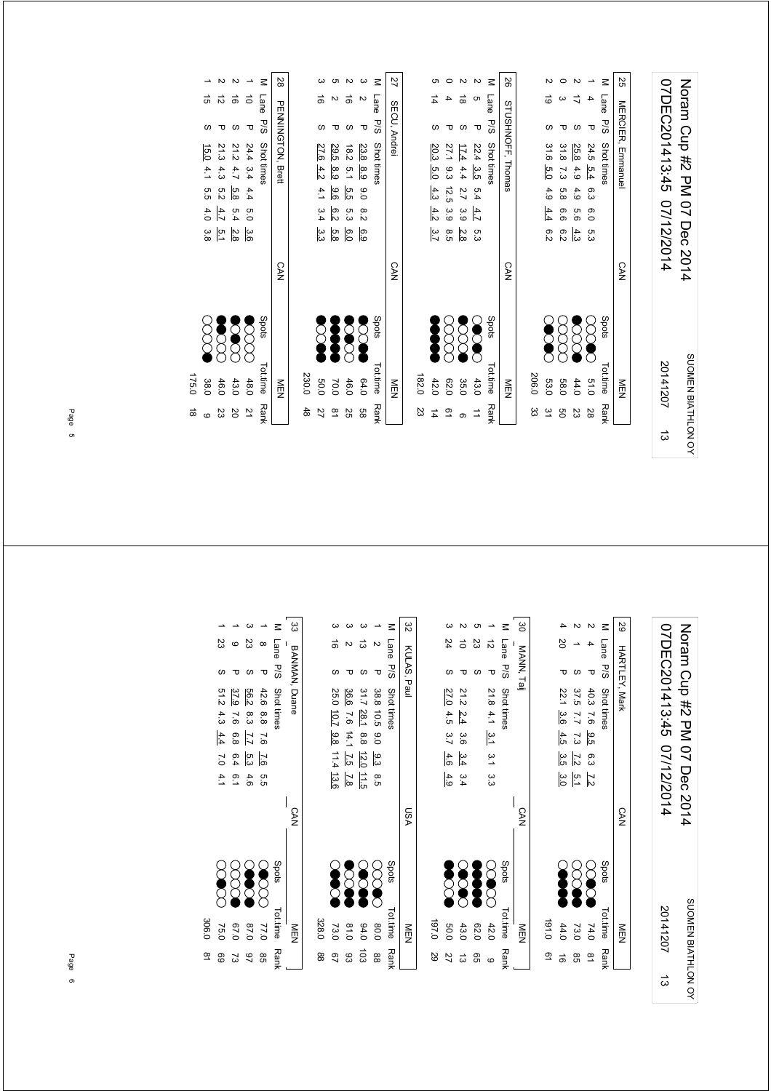| ದ | 20141207           | 07DEC201413:45 07/12/2014   |
|---|--------------------|-----------------------------|
|   | SUOMEN BIATHLON OY | Noram Cup #2 PM 07 Dec 2014 |

|        | NEN           |            | <b>CAN</b> |          |  |                  | STUSHNOFF, Thomas   |   | 56     |
|--------|---------------|------------|------------|----------|--|------------------|---------------------|---|--------|
|        |               |            |            |          |  |                  |                     |   |        |
| ద్ద    | 206.0         |            |            |          |  |                  |                     |   |        |
| ین     | 53.0          | <b>SCR</b> |            | .<br>გ.ე |  | 31.6 5.0 4.9 4.4 |                     | ಠ |        |
| g      | <b>58.0</b>   | 8<br>8     |            | 6.2      |  | 31.8 7.3 5.8 6.6 |                     |   |        |
| S<br>S | 44.0          | SSS        |            | 4.3      |  | 25.8 4.9 4.9 5.6 |                     |   |        |
| 82     | 0.15          | CCC        |            | ო<br>ვ   |  | 24.5 5.4 6.3 6.0 |                     |   |        |
|        | Tot.time Rank | Spots      |            |          |  |                  | Lane P/S Shot times |   | $\leq$ |
|        | NEN           |            | <b>CAN</b> |          |  |                  | MERCIER, Emmanuel   |   | SS     |

|                      | Tot.time Rank | Spots       |            |                            |                   |  | M Lane P/S Shot times |   |                |
|----------------------|---------------|-------------|------------|----------------------------|-------------------|--|-----------------------|---|----------------|
|                      | NEN           |             | <b>CAN</b> |                            |                   |  | SECU, Andrei          |   | $\overline{z}$ |
|                      |               |             |            |                            |                   |  |                       |   |                |
| 23                   | 182.0         |             |            |                            |                   |  |                       |   |                |
| 14                   | 42.0          | Į           |            | $20.3\ 5.0\ 4.3\ 4.2\ 3.7$ |                   |  |                       |   |                |
| o<br>⊇               | 62.0          | gg          |            | .<br>თ                     | 27.1 9.3 12.5 3.9 |  |                       |   |                |
|                      | 35.0          | <b>2000</b> |            | $\frac{2.8}{2}$            | 17.4442.739       |  |                       | ಹ |                |
| $\overrightarrow{=}$ | 43.0          | <b>SOC</b>  |            | ო<br>ო                     | 22.4 3.5 5.4 4.7  |  | τ                     |   |                |
|                      | Tot.time Rank | Spots       |            |                            |                   |  | Lane P/S Shot times   |   | $\leq$         |
|                      | NEN           |             | <b>CAN</b> |                            |                   |  | STUSHNOFF, Thomas     |   | 92             |

| M Isso Dio Shattimon | 28 PENNINGTON, Brett |       |                      |               | ă            | $\sim$           | M Lane P/S Shot times |
|----------------------|----------------------|-------|----------------------|---------------|--------------|------------------|-----------------------|
|                      |                      |       |                      |               |              | τ                |                       |
|                      |                      |       |                      | 29.5 8.9      | 18.2 5.1     |                  |                       |
|                      |                      |       |                      |               |              |                  |                       |
|                      |                      |       | 27.6 4.2 4.1 3.4 3.3 | 9.6           | 5.5 5.3      | 23.8 8.9 9.0 8.2 |                       |
|                      |                      |       |                      | $\frac{6}{3}$ |              |                  |                       |
|                      |                      |       |                      | 5.8           | 6.0          | 6.9              |                       |
|                      | <b>CAN</b>           |       |                      |               |              |                  |                       |
| りりょう                 |                      |       | 2<br>2               | <b>Second</b> | <b>POOCE</b> | <b>2000</b>      | Spots                 |
| Tattima Bank         | NEN<br>Z             | 230.0 | 0.03                 | 70.0          | 46.0         | 64.0             | Tot.time              |
|                      |                      | 48    | 27                   | $\frac{8}{1}$ | 25           | 9g               | <b>Rank</b>           |

|           |        |               |                 |              | $\leq$        | 28                       |
|-----------|--------|---------------|-----------------|--------------|---------------|--------------------------|
|           | G)     | ನ             | ಹೆ              | đ            | Lane          |                          |
|           |        | ᠊ᠣ            |                 | ᠊ᠣ           | $5\%$         |                          |
|           | 15.0   | 21.3 4.3      | 21.2 4.7        | 24.4 3.4 4.4 | Shot times    | <b>PENNINGTON, Brett</b> |
|           | 4.1    |               |                 |              |               |                          |
|           | ე<br>ო | ო<br>თ<br>თ   |                 |              |               |                          |
|           | 4.0    | 4.7           | 5.4             | 0.0          |               |                          |
|           | ဖွဲ    | $\frac{5}{1}$ | $\frac{2.5}{3}$ | ဖွဲ          |               |                          |
|           |        |               |                 |              |               | <b>CAN</b>               |
|           | 8<br>8 |               | <b>88</b><br>88 | $\infty$     | Spots         |                          |
|           |        |               |                 |              |               |                          |
| 175.0     | 38.0   | 46.0          | 43.0            | 48.0         | Tot.time Rank | NEN                      |
| $\vec{8}$ |        | ΣS            | <b>ZO</b>       | 21           |               |                          |

Noram Cup #2 PM 07 Dec 2014<br>07DEC201413:45 07/12/2014 07DEC201413:45 07/12/2014 Noram Cup #2 PM 07 Dec 2014 SUOMEN BIATHLON OY SUOMEN BIATHLON OY 20141207ದ

|                         | $\frac{1}{2}$ | $\frac{1}{2}$ | NANNA Tail                           | š      |
|-------------------------|---------------|---------------|--------------------------------------|--------|
|                         |               |               |                                      |        |
| g                       | 0.161         |               |                                      |        |
|                         | 44.0          | Ş             | .<br>20<br>22.1 3.6<br>$4.5 \t3.5$   |        |
| 98                      | 73.0          | 8             | 37.5 7.7<br>7.3 7.2<br>$\frac{5}{3}$ |        |
| $\frac{\infty}{\infty}$ | 74.0          | <b>SO</b>     | τ<br>40.3 7.6 9.5 6.3 7.2            |        |
|                         | Tot.time Rank | Spots         | Lane P/S Shot times                  | $\leq$ |
|                         | NEN           | <b>CAN</b>    | HARTLEY, Mark                        | 59     |

|               | $\frac{1}{2}$ |                            | 32 Panl AS Panl |        |
|---------------|---------------|----------------------------|-----------------|--------|
|               |               |                            |                 |        |
| <b>Second</b> |               | 27.0 4.5 3.7<br>4.6<br>4.9 | 24              |        |
| <b>SOOO</b>   |               | 21.2 2.4 3.6<br>$3.4$ 3.4  | $\vec{0}$       |        |
| <b>Seeded</b> |               |                            | Ωŝ              | CΠ     |
| <b>SOC</b>    |               | 21.8 4.1 3.1 3.1 3.3       | ನ<br>τ          |        |
| spots         |               | Lane P/S Shot times        |                 | $\leq$ |
|               | <b>CAN</b>    |                            | 30 MANN, Taij   |        |

|       |                            |                                                                |      |                        | $\leq$              | 82          |
|-------|----------------------------|----------------------------------------------------------------|------|------------------------|---------------------|-------------|
|       |                            |                                                                |      | N                      |                     |             |
|       |                            |                                                                |      | τ                      |                     | KULAS, Paul |
|       | 25.0 10.7<br>9.8 11.4 13.6 | $31.7 \ \frac{28.1}{26.6} \ \ 8.8 \ \ 12.0 \ \frac{11.5}{2.8}$ |      | 38.8 10.5 9.0<br>9.385 | Lane P/S Shot times |             |
|       |                            |                                                                |      |                        |                     | VSN         |
|       | <b>SO</b>                  |                                                                |      | X                      | Spots               |             |
| 328.0 | 73.0                       | 0.18                                                           | 94.0 | 0.08                   | Tot.time Rank       | ミロ          |
| 88    | 97                         | 83                                                             | 103  | 88                     |                     |             |

|             |      |                                             |                  | $\leq$        | జ                    |
|-------------|------|---------------------------------------------|------------------|---------------|----------------------|
| ΣS          | ဖ    | 23                                          | $\infty$         | Lane          |                      |
| S           |      | S                                           | τ                | S/d           |                      |
| 51.2        | 37.9 | 56.2                                        |                  | Shot times    | <b>BANMAN, Duane</b> |
|             |      |                                             |                  |               |                      |
| $4.3$ $4.4$ |      | 8.3 $\frac{7.7}{6.8}$ $\frac{5.3}{6.4}$ 4.6 | 42.6 8.8 7.6 7.6 |               |                      |
| 7.0 4.1     |      |                                             |                  |               |                      |
|             |      |                                             | ς'n              |               |                      |
|             |      |                                             |                  |               | CAN                  |
|             |      |                                             |                  | Spots         |                      |
|             |      |                                             |                  |               |                      |
| 75.0        | 0'29 | 0.78                                        | 77.0             | Tot.time Rank | NEN                  |
| 69          | ವ    | $\overline{6}$                              | 98               |               |                      |

306.0 81

306.0 81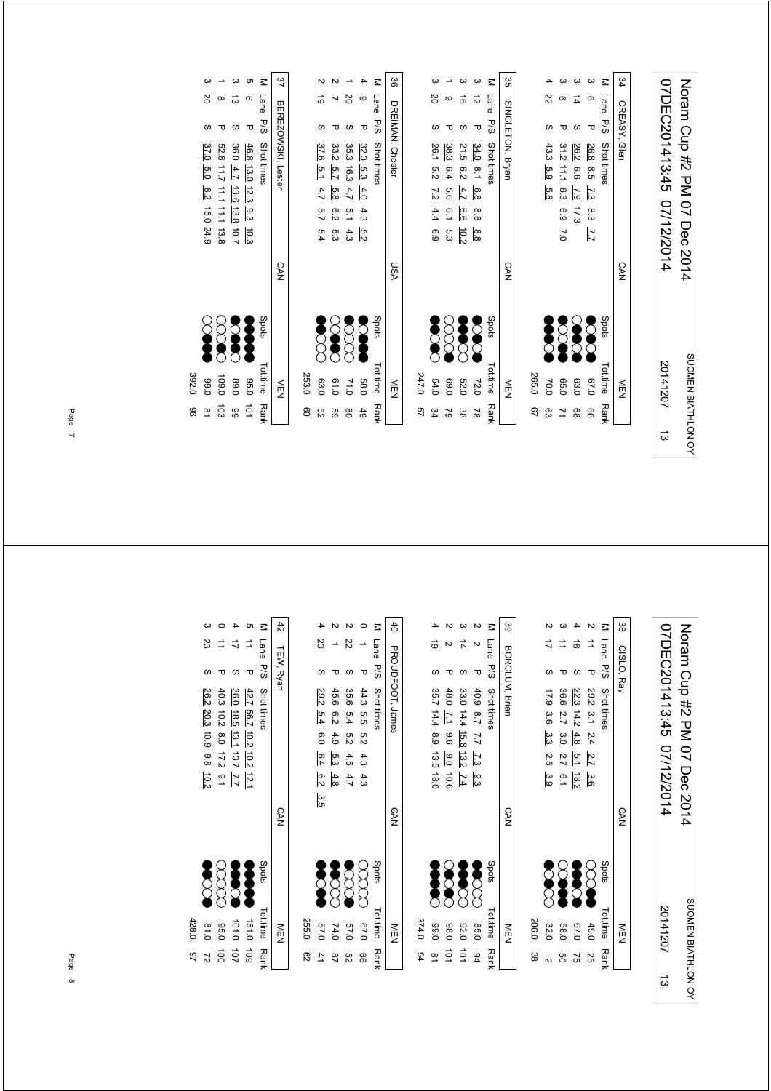| 07DEC201413:45 07/12/2014 | Noram Cup #2 PM 07 Dec 2014 |
|---------------------------|-----------------------------|
| 20141207                  | SUOMEN BIATHLON OY          |
|                           |                             |

SUOMEN BIATHLON OY

20141207

ದ

07DEC201413:45 07/12/2014 Noram Cup #2 PM 07 Dec 2014

Noram Cup #2 PM 07 Dec 2014

07DEC201413:45 07/12/2014

38

CISLO, Ray

CISLO, Ray

M Lane P/S Shottimes<br>2 11 P 29.2 3.1 2.4 <u>2.7 3.6</u><br>4 18 S 22.2 14.2 4.8 5.1 18.2<br>3 11 P 36.6 2.7 3.<u>0 2.7 6.1</u><br>2 17 S 17.9 3.6 <u>3.3</u> 2.5 3.<u>9</u>

CAN

P/S Shot times  $\sim$  Shots Shots Tot.time P/S Shot times

 $21$   $29.2$   $3.1$   $2.4$   $2.7$   $3.6$   $3.9$   $49.0$   $25$  75 18.2 5.1 14.2 67.0 4.8 4 18 S 22.3 5 11 P 36.6 2.7 3.0 2.7 6.1 P 36.6 2.7 P 36.0 50 2 3.9 2.5 3.6 32.0 3.3 2 17 S 17.9

 $\begin{matrix}\n\bullet & \circ & \circ \\
\bullet & \circ & \circ \\
\bullet & \bullet & \circ\n\end{matrix}$ 

 $\vartheta$ **Second** 

49.0<br>67.0<br>67.0<br>58.0 2<br>206.0 38

206.0 38

MEN

Tot.time Rank

|    | Tottime<br>Tottime | Snate       |            | M Iana D'S Shot fimea            |  |
|----|--------------------|-------------|------------|----------------------------------|--|
|    | MEN                |             | <b>CAN</b> | ပ္ပ<br>၁<br>SINGLETON, Bryan     |  |
| 97 | 265.0              |             |            |                                  |  |
| 83 | 70.0               | Š           |            | Z2<br>43.3 5.9<br>5.8            |  |
| 71 | 05.0               | <b>2002</b> |            | 31.2 11.1 6.3 6.9 7.0            |  |
| 88 | 03.0               | S           |            | 14<br>26.2<br>6.6 7.9 17.3       |  |
| 99 | 0.79               | <b>SOC</b>  |            | Δ<br>26.8 8.5<br>7.3 8.3 7.7     |  |
|    | Tot.time Rank      | Spots       |            | $\leq$<br>Lane P/S<br>Shot times |  |
|    | NEN<br>D           |             | <b>CAN</b> | \$4<br>CREASY, Glen              |  |
|    |                    |             |            |                                  |  |

| 35<br>So   |   | SINGLETON, Bryan                 | <b>CAN</b> |              | NEN                   |
|------------|---|----------------------------------|------------|--------------|-----------------------|
| $\leq$     |   | Lane P/S Shot times              |            | <b>Spots</b> | Tot.time Rank         |
|            | ನ | 34.0 8.1 6.8<br>8.8<br>8.8       |            |              | 200<br>72.0           |
|            | ಕ | 21.5 6.2 4.7<br>.<br>9.9<br>10.2 |            |              | <b>Section</b><br>032 |
|            |   | 38.3 6.4 5.6 6.1 5.3             |            |              | $\infty$<br>0.69      |
|            | δ | 26.1 5.2 7.2 4.4 6.9             |            |              | <b>SCACCE</b><br>54.0 |
|            |   |                                  |            |              | 247.0                 |
| <u>ట్ల</u> |   | DREIMAN, Chester                 | VSN        |              | NEN                   |
|            |   | M I and Pio Shot timpe           |            |              | Shris<br>Tottime Bank |

|        |    |                       |               |         | $\frac{1}{2}$ |                | $\ddot{ }$    |               |
|--------|----|-----------------------|---------------|---------|---------------|----------------|---------------|---------------|
| $\leq$ |    | Lane P/S Shot times   |               |         |               | Spots          | Tot.time Rank |               |
|        |    | 32.3 5.3 4.0          | 4.3           | ra<br>N |               | <b>Service</b> | 58.0          | 49            |
|        | δŠ | 35.3 16.3 4.7 5.1 4.3 |               |         |               |                | 71.0          | $\frac{8}{2}$ |
|        |    | 33.2 5.7<br>5.8       | $\frac{6}{2}$ | ი<br>ვ  |               | <b>SOCT</b>    | 0.19          | GG            |
|        | 6  | 37.6 5.1<br>4.7       | 5.7           | 5.4     |               | <b>Second</b>  | 63.0          | S2            |
|        |    |                       |               |         |               |                | 253.0         | 80            |
|        |    |                       |               |         |               |                |               |               |

|                             |                          |                         |                                        |                     | 37                 |
|-----------------------------|--------------------------|-------------------------|----------------------------------------|---------------------|--------------------|
| ğ                           |                          |                         |                                        |                     |                    |
|                             |                          |                         |                                        |                     |                    |
| 37.0<br>$5.0$ 8.2 15.0 24.9 | 52.8 11.7 11.1 11.1 13.8 | 36.0 4.7 13.6 13.8 10.7 | 46.8 13.0 12.3 9.3<br>$\frac{10.3}{2}$ | Lane P/S Shot times | BEREZOWSKI, Lester |
|                             |                          |                         |                                        |                     | <b>CAN</b>         |
| $\sum_{i=1}^{n}$            | 888                      |                         |                                        | Spots               |                    |
| 0.66                        | 109.0                    | 0.08                    | 0.96                                   | Totitime Rank       | ≧型                 |
| $\frac{\infty}{\infty}$     | $\overrightarrow{0}$     | 66                      | $\frac{1}{2}$                          |                     |                    |

392.0 96

392.0 96

M Lane P/S Shot times<br>
2 2 P 40.9 87 7.<br>
3 14 S 33.0 14.4 <u>15.</u><br>
2 2 P 48.0 <u>7.1</u> 9.1 2 2 P 48.0 7.1 9.6 9.0 10.6 2 2 2 P 48.0 10.1 2 9.2 2 9.2 P 48.0 2 9.2 P 48.0 P 48.0 P 48.0 P 48.0 P 48.0 P 48.0 P 48.0 P 48.0 P 48.0 P 48.0 P 48.0 P 48.0 P 48.0 P 48.0 P 48.0 P 48.0 P 48.0 P 48.0 P 48.0 P 48.0 P 48.0 P 4  $31.4$   $14.7$   $15.8$   $14.4$   $15.8$   $13.2$   $7.4$   $15.8$   $13.2$   $14.4$   $15.8$   $13.2$   $14.4$   $15.8$   $15.9$   $15.9$   $15.9$   $15.9$   $15.9$   $15.9$   $15.9$   $15.9$   $15.9$   $15.9$   $15.9$   $15.9$   $15.9$   $15.9$   $15.9$   $15.9$   $15.9$   $15.9$  $P$  40.9 8.7 7.7 7.3 9.3<br>
8 33.0 14.4 15.8 13.2 7.4<br>
P 48.0 7.1 9.6 9.0 10.6<br>
8 35.7 14.4 8.9 13.5 18.0

 $\overline{\mathbf{4}}$ 

39

BORGLUM, Brian

BORGLUM, Brian

CAN

Py Spots Tot.time Rank Shot times

888 Spots

MEN

Tot.time Rank

|          |   | N                                                                                                                                                                                                                         | ယ                     | N                    |
|----------|---|---------------------------------------------------------------------------------------------------------------------------------------------------------------------------------------------------------------------------|-----------------------|----------------------|
|          |   |                                                                                                                                                                                                                           | $\sharp$              |                      |
|          | လ | τ                                                                                                                                                                                                                         | S                     | ᠊ᠣ                   |
|          |   | $\begin{array}{r} 33.0 \ 14.4 \ \overline{16.8} \ \overline{13.2} \ \overline{1.4} \\ 48.0 \ \overline{1.1} \quad 9.6 \ \overline{9.0} \ \ 10.6 \\ 48.0 \ \overline{1.1} \quad 9.6 \ \overline{9.0} \ \ 10.6 \end{array}$ |                       | 40.9 8.7 7.7 7.3 9.3 |
|          |   |                                                                                                                                                                                                                           |                       |                      |
|          |   |                                                                                                                                                                                                                           |                       |                      |
|          |   |                                                                                                                                                                                                                           |                       |                      |
|          |   |                                                                                                                                                                                                                           |                       |                      |
|          |   | <b>3833<br/>8888</b>                                                                                                                                                                                                      |                       |                      |
| 374.0 94 |   | 92.0<br>98.0<br>99.0                                                                                                                                                                                                      |                       | 85.0 94              |
|          | g | $\vec{c}$                                                                                                                                                                                                                 | $\overrightarrow{01}$ |                      |

|       | ΣŚ              |                  | Z2                    |                      |                     |                  |
|-------|-----------------|------------------|-----------------------|----------------------|---------------------|------------------|
|       | S               |                  |                       | τ                    |                     |                  |
|       | 29.2 5.4        | 45.6             | 35.6                  |                      | Lane P/S Shot times | PROUDFOOT, James |
|       |                 | .<br>გა          | 5.4                   |                      |                     |                  |
|       | 6.0 6.4         |                  | 5.2                   | 44.3 5.5 5.2 4.3 4.3 |                     |                  |
|       |                 | 4.9 5.3          | 4.5                   |                      |                     |                  |
|       | $\frac{6.2}{2}$ | 4.8              | 4.7                   |                      |                     |                  |
|       | ပ္ပ<br>(၁       |                  |                       |                      |                     |                  |
|       |                 |                  |                       |                      |                     |                  |
|       |                 |                  |                       |                      |                     |                  |
|       |                 | $\sum_{i=1}^{n}$ | $\breve{\mathcal{B}}$ |                      | Spots               |                  |
|       | Š               |                  |                       |                      |                     |                  |
|       |                 |                  |                       |                      |                     |                  |
| 255.0 | 0'19            | 74.0             | 0'19                  | 0.79                 |                     |                  |
| 82    |                 |                  | 82                    | 8                    | Tot.time Rank       |                  |

|       |                               |                           |                                                               | G                             | $\leq$        | $\ddot{4}$ |
|-------|-------------------------------|---------------------------|---------------------------------------------------------------|-------------------------------|---------------|------------|
|       | ΣS                            |                           |                                                               | $\Rightarrow$                 | Lane          |            |
|       |                               |                           |                                                               | ᠊ᠣ                            | s/d           | TEW, Ryan  |
|       | 26.2<br>20.3 10.9 9.8<br>10.2 | 40.3<br>10.2 8.0 17.2 9.1 | 36.0<br>18.5<br>$\frac{13.1}{13.1}$<br>13.7<br>$\overline{L}$ | 42.7<br>56.7 10.2<br>10.2 12. | Shot times    |            |
|       |                               |                           |                                                               |                               |               | <b>CAN</b> |
|       | <b>Second</b>                 |                           | 888                                                           |                               | Spots         |            |
| 428.0 | 0.18                          | 0°56                      | 101.0                                                         | 151.0                         | Tot.time Rank | M<br>四     |
| 97    | 2                             | đ                         | 101                                                           | 60L                           |               |            |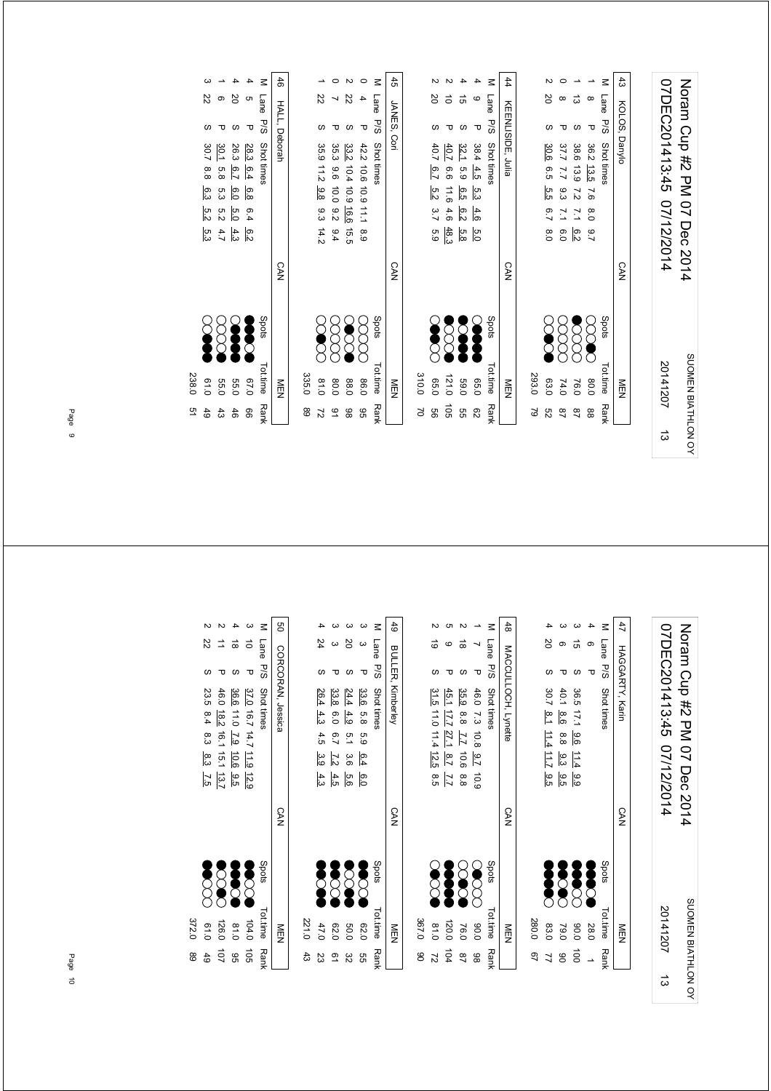| 07DEC201413:45 07/12/2014 | Norman Cup #2 PM 07 Dec 2014 |
|---------------------------|------------------------------|
| 20141207                  | SUOMEN BIATHLON OY           |
| ದ                         |                              |

|               | NEN         |            | <b>CAN</b> |                |               |               |      | KEENLISIDE, Julia |   | 44         |
|---------------|-------------|------------|------------|----------------|---------------|---------------|------|-------------------|---|------------|
| ಚ             | 293.0       |            |            |                |               |               |      |                   |   |            |
| g             | <b>63.0</b> | <b>S</b>   |            | $\frac{8}{2}$  | 6.7           | 6.5 5.5       | 30.6 |                   | Β |            |
| $\frac{8}{1}$ | 74.0        |            |            | 0.0            | $\frac{1}{2}$ | 7.7 9.3       | 37.7 |                   |   |            |
| $\frac{8}{4}$ | 76.0        | <b>SSS</b> |            | $\frac{6}{5}$  | $\frac{1}{2}$ | 38.6 13.9 7.2 |      |                   | ದ |            |
| 88            | 0.08        | ECC        |            | $\overline{6}$ | $\frac{8}{2}$ | 36.2 13.5 7.6 |      | ᠊ᠣ                |   |            |
| <b>Rank</b>   | Tottime     | Spots      |            |                |               | Shot times    |      | Lane P/S          |   | Ξ          |
|               | MEN<br>N    |            | <b>CAN</b> |                |               |               |      | KOLOS, Danylo     |   | $\ddot{3}$ |

| 45          |       |                      |                      |                  |              | z           | 44                |
|-------------|-------|----------------------|----------------------|------------------|--------------|-------------|-------------------|
| JANES, Cori |       | δ                    |                      | GÌ               | c            | Lane P/S    |                   |
|             |       |                      |                      |                  | ᠊ᠣ           |             |                   |
|             |       |                      | 40.7                 |                  |              | Shot times  | KEENLISIDE, Julia |
|             |       |                      |                      |                  |              |             |                   |
|             |       | 40.7 6.7 5.2 3.7 5.9 | 911 99 4             | 32.1 5.9 6.5 6.2 | 38.4 4.5 5.3 |             |                   |
|             |       |                      | 4.6                  |                  | $-4.6$       |             |                   |
|             |       |                      | $rac{5.8}{48}$       |                  | 5.0          |             |                   |
| <b>CAN</b>  |       |                      |                      |                  |              |             | <b>CAN</b>        |
|             |       | <b>Section</b>       | <b>SSS</b>           | Š                | Ş            | Spots       |                   |
| NEN         | 310.0 | 0.50                 | 121.0                | <b>59.0</b>      | 0.99         | Tot.time    | NEN               |
|             | ð     | 9g                   | $\overrightarrow{c}$ | g<br>G           | 82           | <b>Rank</b> |                   |

| <b>Spots</b><br>Tottime |
|-------------------------|
| gg<br>0.98              |
| <b>SSS</b><br>88.0      |
| 8<br>8<br>0.08          |
| <b>SCC</b><br>0.18      |
| 335.0                   |
|                         |

|       |            |             |                                           |                 | Z          | 46            |
|-------|------------|-------------|-------------------------------------------|-----------------|------------|---------------|
|       | ß          |             |                                           |                 | Lane       |               |
|       |            |             |                                           | ᠊᠐              | s<br>Sd    | HALL, Deborah |
|       | 30.7       | 30.1        | 26.3                                      | 28.3 6.4        | Shot times |               |
|       | 8.8        | .<br>ფ      | 6.7                                       |                 |            |               |
|       | 6.3 5.2    | ი<br>ო      | $\overline{6.0}$                          | $\frac{6.8}{8}$ |            |               |
|       |            |             | ო<br>ს  <br>ს                             | 6.4             |            |               |
|       | ں<br>ن     |             | $\frac{6}{9}$ $\frac{4}{9}$ $\frac{4}{9}$ |                 |            |               |
|       |            |             |                                           |                 |            | <b>CAN</b>    |
|       | <b>SOF</b> |             |                                           |                 | Spots      |               |
| 238.0 | 0.19       | <b>55.0</b> | <b>55.C</b>                               | 01'0            | Tot.time   | M<br>ワマ       |
| 9     | 49         | 43          | 46                                        | 99              | Rank       |               |

Noram Cup #2 PM 07 Dec 2014<br>07DEC201413:45 07/12/2014 07DEC201413:45 07/12/2014 Noram Cup #2 PM 07 Dec 2014 SUOMEN BIATHLON OY 20141207 SUOMEN BIATHLON OY 20141207 $\frac{1}{3}$ 

|       |               |             |                |      | Σ                   | 4               |
|-------|---------------|-------------|----------------|------|---------------------|-----------------|
|       | Ρ             | თ           | ಸ              |      | Lane P/S Shot times |                 |
|       |               |             |                | τ    |                     | HAGGARTY, Karir |
|       | 30.7          | 40.1        | 36.5 17.1 9.6  |      |                     |                 |
|       | $\frac{1}{2}$ | စ်<br>စ     |                |      |                     |                 |
|       | 11.4 11.7     | 8.8         |                |      |                     |                 |
|       |               | ာ<br>၁၁     | 11.49.99       |      |                     |                 |
|       | .<br>თ        | ခြ          |                |      |                     |                 |
|       |               |             |                |      |                     |                 |
|       |               |             |                |      |                     | <b>CAN</b>      |
|       |               |             |                |      |                     |                 |
|       |               |             |                |      | Spots               |                 |
|       | Š             | <b>SCAR</b> | <b>Section</b> | Š    |                     |                 |
|       |               |             |                |      |                     |                 |
| 280.0 | 83.0          | 19.0        | 0.06           | 28.0 | Tot.time Ran!       | NEN             |
|       |               |             |                |      |                     |                 |
| 97    |               | g           | $\vec{p}$      |      |                     |                 |

|       |                         |                                    |                       |                        |                         | 48                  |
|-------|-------------------------|------------------------------------|-----------------------|------------------------|-------------------------|---------------------|
|       | ತ                       |                                    | ಹ                     |                        |                         |                     |
|       |                         |                                    |                       |                        |                         |                     |
|       | 31.5 11.0 11.4 12.5 8.5 | 45.1 17.7 27.1<br>8.7<br><u>rı</u> | 35.9 8.8 7.7 10.6 8.8 | 46.0 7.3 10.8 9.7 10.9 | M Lane P/S Struct times | MACCULLOCH, Lynette |
|       |                         |                                    |                       |                        |                         | CAN                 |
|       | <b>SSS</b>              | Į                                  | <b>200</b>            | E                      | spots                   |                     |
| 367.0 | 0.18                    | 120.0                              | 76.0                  | 0.06                   | Tot.time Rank           | NEN                 |
| ၆     | 2                       | 104                                | 87                    | 86                     |                         |                     |

|            |           |                  |                                                          |               | ₹             | 49                       |
|------------|-----------|------------------|----------------------------------------------------------|---------------|---------------|--------------------------|
|            |           |                  | Β                                                        |               | Lane          |                          |
|            |           |                  |                                                          |               | <b>P/S</b>    |                          |
|            | 26.4      |                  | $\frac{33.6}{24.4}$ $\frac{54.4}{4.9}$ $\frac{4.9}{6.0}$ |               | Shot times    | <b>BULLER, Kimberley</b> |
|            | 4.3       |                  |                                                          |               |               |                          |
|            | 4.5       | $^{2.5}$         | 5.1                                                      | 63            |               |                          |
|            | ة 3.<br>9 | $\overline{2.2}$ | .<br>დ                                                   | 6.4           |               |                          |
|            | 4.3       | 4.5              | 9.6                                                      | $\frac{6}{2}$ |               |                          |
|            |           |                  |                                                          |               |               | <b>CAN</b>               |
|            | Š         | <b>889</b>       |                                                          | $\delta$      | Spots         |                          |
| 221.0      | 47.0      | 02.0             | 0.05                                                     | 0.20          | Tot.time Rank | ≧四                       |
| $\ddot{3}$ | 23        |                  | జ                                                        | 9g            |               |                          |

|       |                                     |                               |                                 |                          | z                 | g                 |
|-------|-------------------------------------|-------------------------------|---------------------------------|--------------------------|-------------------|-------------------|
|       | Z2                                  |                               |                                 |                          | Lane              |                   |
|       |                                     |                               |                                 |                          | s/d               |                   |
|       | 23.5 8.4 8.3 8.3<br>$\frac{7.5}{7}$ | 46.0 18.2<br>$16.1$ 15.1 13.7 | 36.6<br>11.0 2.9 10.6<br>$-5.5$ | 37.0 16.7 14.7 11.9 12.9 | Shot times        | CORCORAN, Jessica |
|       |                                     |                               |                                 |                          |                   | <b>CAN</b>        |
|       | <b>SCCCC</b>                        | <b>888</b>                    |                                 | <b>SSS</b>               | stod <sub>S</sub> |                   |
| 372.0 | 0.19                                | 126.0                         | 0.18                            | 104.0                    | Tot.time Rank     | NEN               |
| 89    |                                     | $\overline{0}$                | 95                              | $\overrightarrow{05}$    |                   |                   |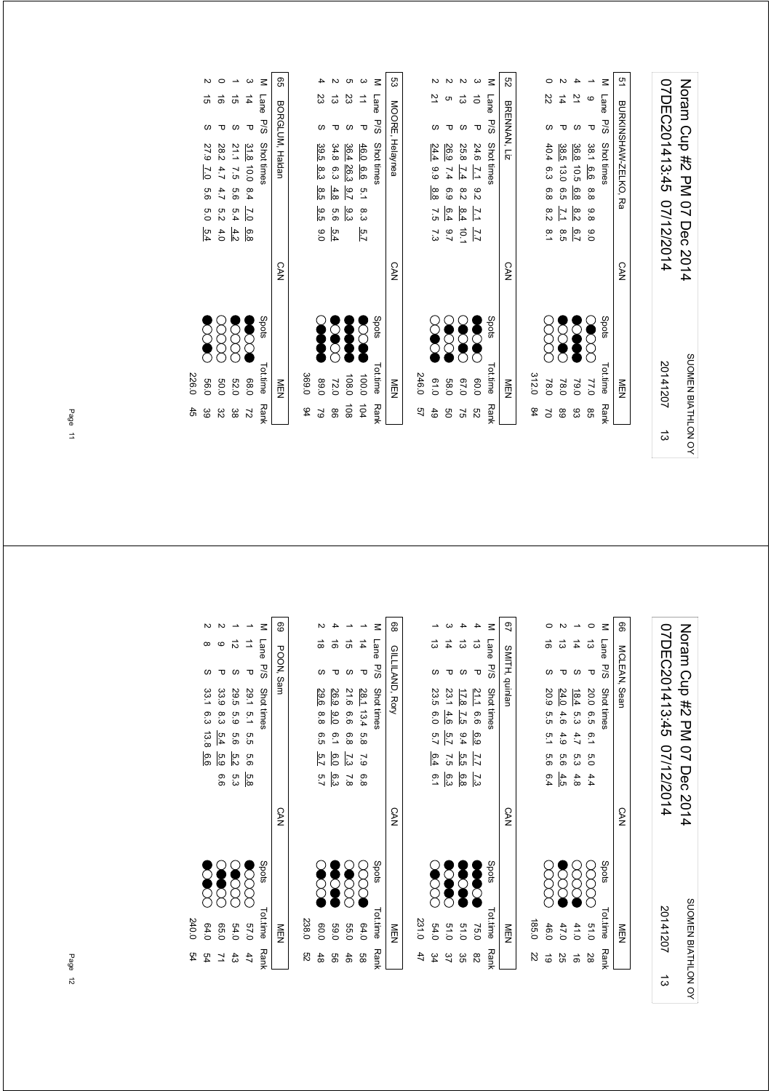| 07DEC201413:45 07/12/2014 | Noram Cup #2 PM 07 Dec 2014 |
|---------------------------|-----------------------------|
| 20141207                  | SUOMEN BIATHLON OY          |
|                           |                             |

| 2      |      |              | BURKINSHAW-ZELXO, Ra                                                                                                           | <b>CAN</b> |                  | MEN<br>N        |                |
|--------|------|--------------|--------------------------------------------------------------------------------------------------------------------------------|------------|------------------|-----------------|----------------|
|        | Lane | <b>P/S</b>   | Shot times                                                                                                                     |            | Spots            | <b>Tot.time</b> | <b>Rank</b>    |
|        | O    | Δ            | 38.1<br>6.6<br>8.8<br>9.8<br>°0                                                                                                |            |                  | 77.0            | 95             |
|        | 2    | S            | 36.8                                                                                                                           |            | Š                |                 | 83             |
|        | 4    |              | 38.5<br>10.5<br>თ  <br>თ  <br>თ  <br>$\frac{8.2}{2.1}$<br>6.7<br>8.5<br>5.1                                                    |            | $\sum_{i=1}^{n}$ | 78.0            | 68             |
|        | 22   |              | 40.4<br>6.3<br>6.8                                                                                                             |            |                  | 78.0            | $\overline{C}$ |
|        |      |              |                                                                                                                                |            |                  | 312.0           | 84             |
| g      |      | BRENNAN, Liz |                                                                                                                                | <b>CAN</b> |                  | NEN             |                |
| $\leq$ | Lane | <b>P/S</b>   | Shot times                                                                                                                     |            | Spots            | <b>Tot.time</b> | <b>Rank</b>    |
|        | ਠੋ   | τ            | 24.6<br>$\overline{L}$<br>8.2                                                                                                  |            | Š                | 0.09            | 29             |
|        | ದ    |              | 25.8<br>$\frac{8}{2}$                                                                                                          |            | <b>SO</b>        | 0'29            | 57             |
|        | CΠ   |              | 26.9<br>$\frac{7.4}{7.4}$<br>6.9<br>$\frac{1}{2}$ $\frac{1}{3}$ $\frac{1}{4}$ $\frac{1}{5}$ $\frac{1}{5}$<br>$\frac{7.7}{7.9}$ |            | $\bigotimes$     | 0.85            | g              |
| N      | 21   | S            | 24.4<br>66<br>8.8                                                                                                              |            |                  | 0.10            | 49             |

|       |              |                  | c                                                                 | $\omega$         | $\leq$          | ςg              |       |      |                                                                     |                  |                |
|-------|--------------|------------------|-------------------------------------------------------------------|------------------|-----------------|-----------------|-------|------|---------------------------------------------------------------------|------------------|----------------|
|       | 23           | ದ                | 23                                                                | ⇉                | Lane            |                 |       | 21   | ຕ                                                                   | ದ                | $\vec{a}$      |
|       |              |                  | S                                                                 | $\mathbf \sigma$ | 57<br>26        |                 |       |      |                                                                     |                  | ᠊ᠣ             |
|       | 39.5         |                  | $\frac{46.0}{36.4} \frac{6.6}{26.3}$<br>34.8 6.3                  |                  | Shot times      | MOORE, Helaynea |       | 24.4 | 26.9                                                                | 25.8             | 24.6           |
|       | ဖွဲ          |                  |                                                                   |                  |                 |                 |       |      | $\frac{7}{1}$ $\frac{7}{4}$ $\frac{7}{4}$ 9.9                       |                  |                |
|       | 8.5          |                  | $\begin{array}{c c}\n0. & 0.4 \\ -0.7 & 0.8\n\end{array}$         |                  |                 |                 |       | 8.8  | 9 8 9<br>9 9 9                                                      |                  |                |
|       | 9.5          |                  | စ် ၁ ပ<br>၁ ပ                                                     |                  |                 |                 |       |      | $\frac{1}{3} \frac{8}{4} \frac{6}{4} \frac{1}{6}$                   |                  |                |
|       |              | 69.0             |                                                                   | 5.7              |                 |                 |       | 7.3  | $2.56$<br>$-10.7$                                                   |                  |                |
|       |              |                  |                                                                   |                  |                 | <b>CAN</b>      |       |      |                                                                     |                  |                |
|       | <b>Seede</b> | $\sum_{i=1}^{n}$ | <b>Seeds</b>                                                      | Š                | Spots           |                 |       | Š    | $\breve{\begin{smallmatrix} \searrow \ \searrow \end{smallmatrix}}$ | $\sum_{i=1}^{n}$ | <b>DESERVE</b> |
| 369.0 | 89.0         |                  | $100.0$<br>$72.0$                                                 |                  | <b>Tot.time</b> | MEN             | 246.0 | 0.10 | 67.0<br>58.0                                                        |                  | 0.09           |
| 94    |              |                  | $\begin{array}{ccc}\n5 & 2 & 3 & 6 \\ 2 & 8 & 6 & 5\n\end{array}$ |                  | <b>Rank</b>     |                 | 49    | 49   | g                                                                   | 25               | S2             |

|       |                |          |              |                | $\leq$     | GO              |
|-------|----------------|----------|--------------|----------------|------------|-----------------|
|       | G)             | ಹೆ       | G)           | 4              | Lane       |                 |
|       | S              |          |              | Δ              | P/S        | BORGLUM, Haldar |
|       | 27.9 7.0       | 28.2 4.7 | 21.1 7.5     |                | Shot times |                 |
|       |                |          |              | 31.8 10.0 8.4  |            |                 |
|       | 9.9            | 4.7      | 9.6          |                |            |                 |
|       | $\overline{6}$ | 52       | 5.4          | $\overline{C}$ |            |                 |
|       | 5.4            | 4.0      | $rac{4}{3}$  | 6.8            |            |                 |
|       |                |          |              |                |            | <b>CAN</b>      |
|       | Š              | 8<br>8   | $\bigotimes$ | E              | Spots      |                 |
|       |                |          |              |                |            |                 |
| 226.0 | 0.05           | 0.05     | <b>52.C</b>  | 0.86           | Tot.time   | ≦型              |
| 45    | မ္မ            | 32       | မ္မ          | 21             | Ranł       |                 |

|            | <b>RGLUM, Haldan</b>                         |  |                 | <b>CAN</b> |              | M⊟N         |  |
|------------|----------------------------------------------|--|-----------------|------------|--------------|-------------|--|
| <b>P/S</b> | Shot times                                   |  |                 |            | Spots        | Tot.time    |  |
|            | 31.8 10.0 8.4 7.0                            |  | $\frac{6.8}{8}$ |            | <b>SCOOL</b> | 0.86        |  |
|            |                                              |  |                 |            | <b>SSS</b>   | <b>52.C</b> |  |
|            | 21.1 7.5 5.6 5.4 4.2<br>28.2 4.7 4.7 5.2 4.0 |  |                 |            | ga           | <b>50.0</b> |  |
| C)         | 27.9 7.0 5.6 5.0 5.4                         |  |                 |            | E            | 0.00        |  |

07DEC201413:45 07/12/2014 Noram Cup #2 PM 07 Dec 2014 07DEC201413:45 07/12/2014 Noram Cup #2 PM 07 Dec 2014 SUOMEN BIATHLON OY SUOMEN BIATHLON OY 20141207ದ

| Z2          | 185.0    |                       |            |     |         |        |        |              |              |      |   |
|-------------|----------|-----------------------|------------|-----|---------|--------|--------|--------------|--------------|------|---|
| 6           | 46.0     |                       |            |     | 5.6 6.4 | .<br>ა | ო<br>თ | 20.9         | S            | ಕ    |   |
| 25          | 47.0     | $\sum_{i=1}^{\infty}$ |            | 4.5 | 9.6     | 4.9    | 4.6    | 24.0         |              | ದ    |   |
| ಹೆ          | 41.0     | 8<br>8                |            | 4.8 | 5.a     | 4.7    | 5.G    | 18.4         |              | 4    |   |
| 28          | 0.15     | E                     |            | 4.4 | ი<br>ი  |        |        | 20.0 6.5 6.1 | Δ            | ದ    |   |
| <b>Rank</b> | Tot.time | Spots                 |            |     |         |        |        | Shot times   | s/d          | Lane | Σ |
|             | NEN      |                       | <b>CAN</b> |     |         |        |        |              | MCLEAN, Sean |      | 8 |

|       |             |               |                 |                                           | $\leq$        | ల్ష            |
|-------|-------------|---------------|-----------------|-------------------------------------------|---------------|----------------|
|       |             | $\frac{1}{4}$ | ದ               | ದ                                         | Lane P/S      |                |
|       |             |               |                 | ᠊ᠣ                                        |               | SMITH, quinlar |
|       | 23.5 6.0    | 23.14.6       | $17.8$          | $\frac{21.1}{17.8}$ 6.6 $\frac{6.9}{9.4}$ | Shot times    |                |
|       |             |               | $\overline{57}$ |                                           |               |                |
|       | 5.7         | ia<br>Z       |                 |                                           |               |                |
|       | 6.4         | 7.5           | 5.5             | $\overline{L}$                            |               |                |
|       | 6.1         | စ်<br>အ       |                 | ر<br>7ء                                   |               |                |
|       |             |               |                 |                                           |               | <b>CAN</b>     |
|       | <b>SOOC</b> |               |                 | <b>Second</b>                             | spots         |                |
| 231.0 | 54.0        | 51.0          | 0.15            | 75.0                                      | Tot.time Rank | ヮ              |
|       | 54          | 37            | ပ္တ             | 82                                        |               |                |

| Shot times                                                  | <b>CAN</b> | spots<br>Tot time Rank<br>NEN |
|-------------------------------------------------------------|------------|-------------------------------|
|                                                             |            | ECC<br>64.0<br><b>55.0</b>    |
| 21.6 6.6 6.8 7.3<br>28.1 13.4 5.8 7.9 6.8<br>$\overline{8}$ | SOC        |                               |

|       |                   |              |                  |                       | $\leq$              | 69         |
|-------|-------------------|--------------|------------------|-----------------------|---------------------|------------|
|       |                   |              |                  |                       | Lane P/S Shot times |            |
|       |                   |              |                  | ᠊ᠣ                    |                     | POON, Sam  |
|       | 33.1 6.3 13.8 6.6 | 33.9 8.3 5.4 |                  |                       |                     |            |
|       |                   |              |                  |                       |                     |            |
|       |                   |              | 29.5 5.9 5.6 5.2 | 29.1 5.1 5.5 5.6      |                     |            |
|       |                   | $-5.9$       |                  |                       |                     |            |
|       |                   | 9.6          | ო<br>ო           | 5.8                   |                     |            |
|       |                   |              |                  |                       |                     | <b>CAN</b> |
|       |                   | 3388         |                  | $\sum_{i=1}^{\infty}$ | stod <sub>S</sub>   |            |
|       |                   |              |                  |                       |                     |            |
| 240.0 | 64.0              | 0.50         | 54.0             | 0'29                  |                     | NEN        |
| 54    | 54                |              | 43               | 47                    | Tot.time Rank       |            |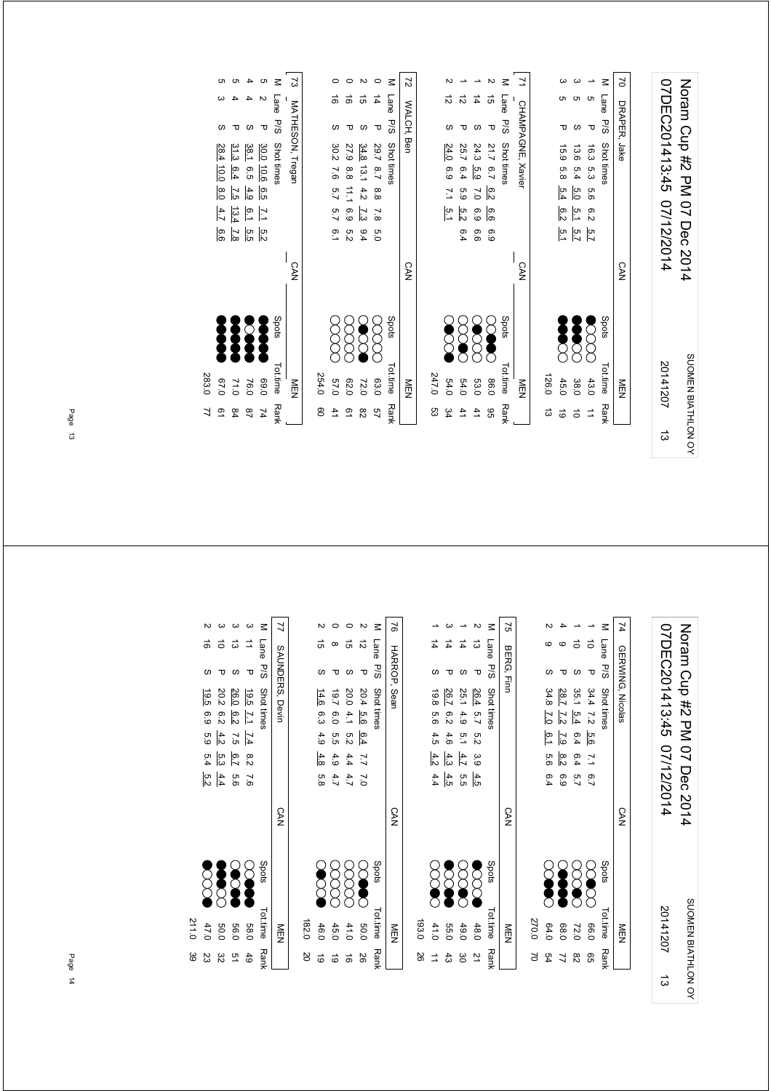| 07DEC201413:45 07/12/2014 | Noram Cup #2 Dec 2014 |
|---------------------------|-----------------------|
| 20141207                  | SUOMEN BIATHLON OY    |
|                           |                       |

|               | NEN                      | <b>CAN</b> |                  |            |         |     |                          | WALCH, Ben   |      | 27     |
|---------------|--------------------------|------------|------------------|------------|---------|-----|--------------------------|--------------|------|--------|
|               |                          |            |                  |            |         |     |                          |              |      |        |
| ლ<br>ვ        | 247.0                    |            |                  |            |         |     |                          |              |      |        |
| 34            | 54.0                     |            |                  | 5.1        | 7.1     | 6.9 | 24.0                     |              | ನ    |        |
| 41            | 54.0                     |            | 6.4              | 5.2        | 63      | 6.4 | 25.7                     | τ            | ನ    |        |
| 41            | 53.0                     |            | 6.6              | 6.9        | 7.0     | 5.9 | 24.3                     | ഗ            | 4    |        |
| 96            | 0.98                     |            | 6.9              | 6.6        | 6.2     |     | 21.7 6.7                 | ᠊ᠣ           | ঈ    |        |
| <b>Rank</b>   | Spots<br>Tot.time        |            |                  |            |         |     | Shot times               | <b>P/S</b>   | Lane | $\leq$ |
|               | NEN                      | <b>CAN</b> |                  |            |         |     | <b>CHAMPAGNE, Xavier</b> |              |      | Σ      |
|               |                          |            |                  |            |         |     |                          |              |      |        |
| ಹ             | 126.0                    |            |                  |            |         |     |                          |              |      |        |
| $\vec{6}$     | 45.0                     |            |                  | 5.1<br>6.2 | 5.4     |     | 15.9 5.8                 | ᠊ᠣ           |      |        |
| $\vec{\circ}$ | 38.0                     |            | 5.7<br>5.1       |            | ρ.<br>Ο | 5.4 | 13.6                     | ഗ            |      |        |
| $\Rightarrow$ | 43.0                     |            | $\overline{5.7}$ | 6.2        | 9.9     |     | 16.3 5.3                 | ᠊ᠣ           | o    |        |
| <b>Rank</b>   | Spots<br><b>Tot.time</b> |            |                  |            |         |     | Shot times               | Lane P/S     |      | $\leq$ |
|               | NEN                      | <b>CAN</b> |                  |            |         |     |                          | DRAPER, Jake |      | 2      |

|       |                                                               |                                                                     |                                              |                                    |            | ر<br>م                  |
|-------|---------------------------------------------------------------|---------------------------------------------------------------------|----------------------------------------------|------------------------------------|------------|-------------------------|
|       |                                                               |                                                                     |                                              |                                    | Lane       |                         |
|       |                                                               |                                                                     |                                              | ᠊ᠣ                                 | $-108$     |                         |
|       | 28.4<br>$\frac{10.0}{\pi}$<br>$\frac{1}{6}$<br>4.7<br>.<br>დ. | 31.3<br>6.4<br>$\overline{25}$<br>$\frac{13.4}{4}$<br>$\frac{7}{3}$ | 38.1<br>$-6.5 -$<br>4.9<br>6.1<br>ים<br>השוט | 30.0<br>10.6 6.5<br>$\overline{L}$ | Shot times | <b>IATHESON, Tregar</b> |
|       |                                                               |                                                                     |                                              |                                    |            | <b>CAN</b>              |
|       |                                                               |                                                                     |                                              |                                    | Spots      |                         |
| 283.0 | 0.70                                                          | 71.0                                                                | 18 <sub>1</sub>                              | 0.69                               | Tot.time   | るワ                      |
|       |                                                               | 84                                                                  | ఇ                                            |                                    | Ran        |                         |

Page 13

| 07DEC201413:45 07/12/2014 | Noram Cup #2 PM 07 Dec 2014 |
|---------------------------|-----------------------------|
| 20141207                  | SUOMEN BIATHLON OY          |
|                           |                             |

| 74               | $\leq$         |            |          |                 |                |       |
|------------------|----------------|------------|----------|-----------------|----------------|-------|
|                  | Lane           | ਠੋ         | ਠੋ       |                 |                |       |
|                  |                | τ          |          |                 |                |       |
| GERWING, Nicolas |                |            |          | 28.7            | 34.8           |       |
|                  | P/S Shot times | $34.4$ 7.2 | 35.1 5.4 | $\overline{z}$  | $\overline{5}$ |       |
|                  |                | 9.6        | 6.4      | $\overline{29}$ | $\frac{6}{2}$  |       |
|                  |                | 7.1 6.7    | 6.45.7   | $\frac{8}{2}$   | 5.6 6.4        |       |
|                  |                |            |          | 6.9             |                |       |
| <b>CAN</b>       |                |            |          |                 |                |       |
|                  | Spots          | S          | XXXX     | <b>Second</b>   | Š              |       |
|                  |                |            |          |                 |                |       |
| M<br>Mu          | Tot.time Rank  | 0.661      | 72.0     | 0.89            | 64.0           | 270.0 |
|                  |                | 99         | 82       |                 | 54             |       |

|       |        |             |        |                       | $\leq$              | 27         |
|-------|--------|-------------|--------|-----------------------|---------------------|------------|
|       |        | $\sharp$    | 4      | ದ                     |                     |            |
|       |        |             |        |                       |                     | BERG, Finr |
|       | 19.8   | 26.7        | 25.1   | 26.4                  | Lane P/S Shot times |            |
|       | თ<br>თ | 62          | 4.9    | $-5.7$                |                     |            |
|       | 4.5    | 4.6         | 5.1    |                       |                     |            |
|       | 4.2    | 4.3         | 4.7    | 5.2 3.9               |                     |            |
|       | 4.4    | 4.5         | ე<br>თ | 4.5                   |                     |            |
|       |        |             |        |                       |                     | CAN        |
|       | SOC    | Š           | SCO    | $\sum_{i=1}^{\infty}$ | stod <sub>S</sub>   |            |
| 193.0 | 41.0   | <b>55.C</b> | 49.0   | 48.0                  | Tot.time            |            |
|       |        | 43          | မ္မ    |                       | <b>Rank</b>         |            |

|       |             |          |               |            | z             | $\overline{5}$ |
|-------|-------------|----------|---------------|------------|---------------|----------------|
|       | ភ<br>ភ      | $\infty$ | G)            | ನ          | Lane P/S      |                |
|       |             |          |               | ᠊ᠣ         |               | HARROP, Sean   |
|       | 14.6 6.3    | 19.7     | 20.0          | 20.4 5.6   | Shot times    |                |
|       |             | 6.0      | $-4.1$        |            |               |                |
|       | 4.9 4.8 5.8 | 5.5 4.9  |               | $-6.4$     |               |                |
|       |             |          | $5.2$ 4.4 4.7 | $0.77$ 7.0 |               |                |
|       |             | 4.7      |               |            |               |                |
|       |             |          |               |            |               | <b>CAN</b>     |
|       | <b>SSS</b>  | g<br>R   | 8<br>8        | <b>SOP</b> | spots         |                |
| 182.0 | 46.0        | 45.0     | 41.0          | 0.05       | Tot.time Rank | NEN<br>EN      |
| SO    | ಠ           | ಠ        | ಹೆ            | 92         |               |                |

|       |                   |            |                                            |                | Σ           | 7               |
|-------|-------------------|------------|--------------------------------------------|----------------|-------------|-----------------|
|       |                   | $\vec{0}$  | ದ                                          |                | Lane        |                 |
|       | S                 |            |                                            | Δ              | .<br>ठ<br>ठ |                 |
|       | 19.5              |            | $\frac{26}{20}$<br>$\frac{26}{20}$<br>20.3 |                | Shot times  | SAUNDERS, Devin |
|       | 6°9               | 6.2        | 6.2                                        | $\overline{E}$ |             |                 |
|       | 5.9 5.4           | 4.2        | $\overline{c}$ .5                          | $\frac{74}{1}$ |             |                 |
|       |                   | 6.7<br>6.3 |                                            | 8.2            |             |                 |
|       | $\frac{4.4}{5.2}$ |            | n.<br>G                                    | $-8.6$         |             |                 |
|       |                   |            |                                            |                |             | <b>CAN</b>      |
|       |                   |            |                                            |                | Spots       |                 |
| 211.0 | 47.0              | 50.0       | <b>56.0</b>                                | <b>58.0</b>    | Tot.time    | MEN<br>D        |
| ဖွ    | 23                | జ          | 51                                         | 49             | <b>Rank</b> |                 |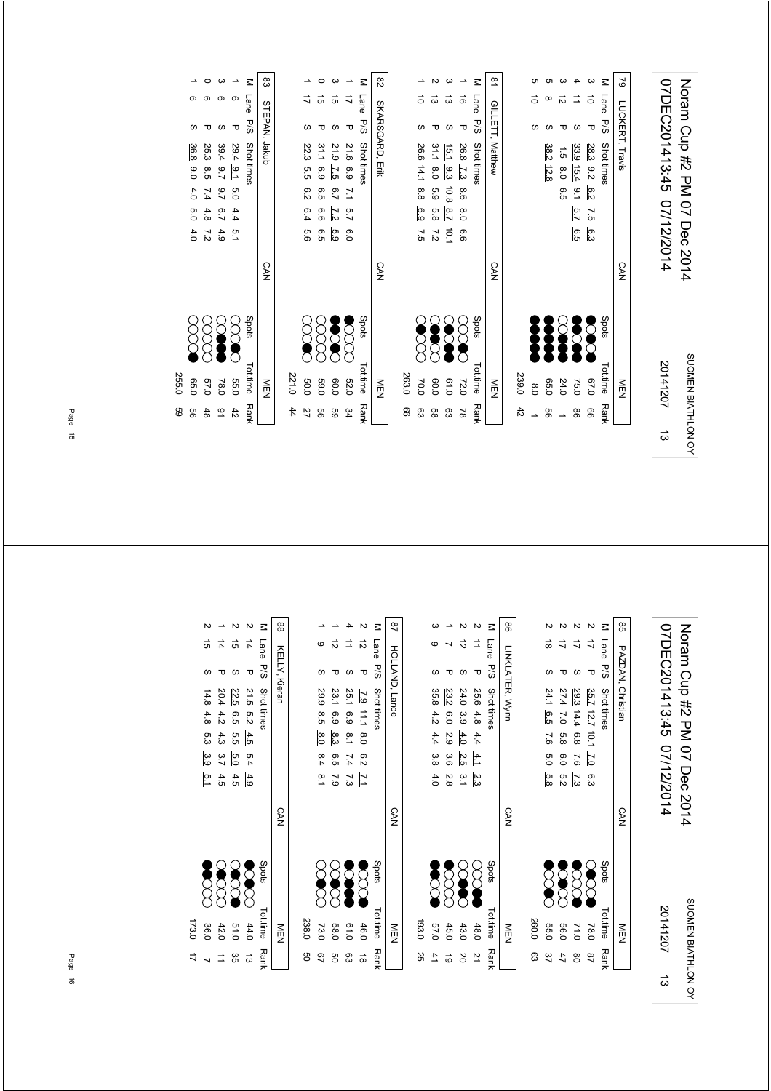| 79 LUCKERT, Travis | 07DEC201413:45 07/12/2014 | Norman Cup #2 PM 07 Dec 2014 |
|--------------------|---------------------------|------------------------------|
| <b>CAN</b>         |                           |                              |
| NEN                | 20141207                  | SUOMEN BIATHLON OY           |
|                    | ದ                         |                              |

| $\overline{8}$ | z               |                        | ಕ                                       |
|----------------|-----------------|------------------------|-----------------------------------------|
|                | GILETT, Matthew | Lane P/S<br>Shot times | τ<br>26.8 7.3<br>9.6<br>$^{8.0}$<br>9.9 |
|                | <b>CAN</b>      |                        |                                         |
| Š              |                 | Spots                  |                                         |
| 239.0<br>8.0   | NEN             | <b>Tot.time</b>        | 72.0<br>61.0                            |
| 42             |                 | <b>Rank</b>            | $\approx$                               |

| 44   | 221.0    |          |            |               |                 |         |                     |                 |     |    |
|------|----------|----------|------------|---------------|-----------------|---------|---------------------|-----------------|-----|----|
| 27   | 50.0     |          |            | 9.0           | 6.4             | 6.2     | 22.3 5.5            |                 |     |    |
| 99   | 069      | 8        |            | თ<br>თ        | 6.6             | 6.5     | 31.1 6.9            |                 | ີ ຕ |    |
| GG   | 0.09     | Š        |            | 5.9           | $\overline{22}$ | 6.7     | 21.9 7.5            |                 | ີ ຕ |    |
| 34   | 52.0     | <b>Z</b> |            | 6.0           |                 | 7.1 5.7 | 21.6 6.9            |                 |     |    |
| Rank | Tot.time | Spots    |            |               |                 |         | Lane D/S Shot times |                 |     | Μ  |
|      | NEN      |          | <b>CAN</b> |               |                 |         |                     | SKARSGARD, Erik |     | 82 |
|      |          |          |            |               |                 |         |                     |                 |     |    |
| 8    | 263.0    |          |            |               |                 |         |                     |                 |     |    |
| တ္ထ  | 0.07     |          |            | ς 7<br>25     | ၉၁              |         | 26.6 14.1 8.8       |                 |     |    |
| 9g   | 0.09     |          |            | $\frac{7}{2}$ | 5.8             |         | 31.1 8.0 5.9        |                 | ದ   |    |

|       |               |               |                  |                  | $\leq$     | සි            |
|-------|---------------|---------------|------------------|------------------|------------|---------------|
|       |               |               |                  |                  | Lane P/S   |               |
|       |               |               |                  | ᠊ᠣ               |            | STEPAN, Jakub |
|       | 36.8          | 25.3          | 39.4             | 29.4 9.1         | Shot times |               |
|       | $\frac{6}{5}$ | თ<br>ვ        | $^{16}$          |                  |            |               |
|       | 4.0           | 7.4           | 2.7              | 6.0              |            |               |
|       | 0.0           | 4.8           | $\overline{6.7}$ | 4.4              |            |               |
|       | 4.0           | $\frac{7}{2}$ | 4.9              | 5.1              |            |               |
|       |               |               |                  |                  |            | <b>CAN</b>    |
|       |               |               | Š                | $\sum_{i=1}^{n}$ | Spots      |               |
| 255.0 | 95.0          | 0.75          | 78.0             | <b>55.C</b>      | Tot.time   | ≧型            |
| GG    | 99            | 48            | ٩                | 42               | Rank       |               |

Page 15

| 07DEC201413:45 07/12/2014 | Noram Cup #2 PM 07 Dec 2014 |
|---------------------------|-----------------------------|
| 20141207                  | SUOMEN BIATHLON OY          |
| ದ                         |                             |

| ၛၟ | Lane          | P/S | PAZDAN, Christiar<br>Shot times                     | <b>CAN</b> | Spots |            | Tot.time<br>M<br>D<br>Z        |
|----|---------------|-----|-----------------------------------------------------|------------|-------|------------|--------------------------------|
|    |               | τ   | 35.7 12.7 10.1 $\overline{1.0}$<br>က္ပ              |            |       | 8<br>8     | 180                            |
|    |               |     | 29.3<br>14.4 6.8<br>7.6<br>$\overline{\mathcal{L}}$ |            |       | <b>SSS</b> | 110                            |
|    |               |     | 27.4<br>7.0 5.8<br>6.0<br>$\frac{5.2}{2}$           |            |       |            | 0.601                          |
|    | $\frac{1}{8}$ |     | 24.1<br>$-6.5$<br>7.6<br>$\frac{5}{2}$<br>5.8       |            |       |            | <b>22</b><br>22<br><b>55.C</b> |
|    |               |     |                                                     |            |       |            | 260.0                          |

|       |               |                  |            |              |               | 8               |
|-------|---------------|------------------|------------|--------------|---------------|-----------------|
|       | c             |                  |            |              | Lane<br>P/S   |                 |
|       |               |                  |            |              |               |                 |
|       | 35.8          | 23.2             | 24.0       |              | Shot times    | LINKLATER, Wyni |
|       | $rac{4.2}{4}$ | $\overline{6.0}$ | 3.94.0     | 25.6 4.8 4.4 |               |                 |
|       | 4.4 3.8       | 2.9              |            |              |               |                 |
|       |               | 3.6              | 2.5        | $-4.1$       |               |                 |
|       | 4.0           | $\frac{2.8}{8}$  | یہ<br>جا   | 2.3          |               |                 |
|       |               |                  |            |              |               | <b>CAN</b>      |
|       | Š             | SOCK.            | <b>SOL</b> |              | spots         |                 |
| 193.0 | 0.75          | 45.0             | 43.0       | 48.0         | Tot.time Rank | 市               |
| 25    |               | ಠ                | δ          |              |               |                 |

|                                                                                                                                                                                                                                                                                                                                |       |                |              |                      |                      | $\leq$        | $\frac{8}{4}$         |
|--------------------------------------------------------------------------------------------------------------------------------------------------------------------------------------------------------------------------------------------------------------------------------------------------------------------------------|-------|----------------|--------------|----------------------|----------------------|---------------|-----------------------|
|                                                                                                                                                                                                                                                                                                                                |       | ဖ              | ನ            | $\overrightarrow{=}$ | ನ                    | Lane<br>P/S   | <b>HOLLAND, Lance</b> |
| $\begin{bmatrix} 1 & 0 & 0 \\ 0 & 0 & 0 \\ 0 & 0 & 0 \\ 0 & 0 & 0 \\ 0 & 0 & 0 \\ 0 & 0 & 0 \\ 0 & 0 & 0 & 0 \\ 0 & 0 & 0 & 0 \\ 0 & 0 & 0 & 0 \\ 0 & 0 & 0 & 0 & 0 \\ 0 & 0 & 0 & 0 & 0 \\ 0 & 0 & 0 & 0 & 0 \\ 0 & 0 & 0 & 0 & 0 & 0 \\ 0 & 0 & 0 & 0 & 0 & 0 \\ 0 & 0 & 0 & 0 & 0 & 0 & 0 \\ 0 & 0 & 0 & 0 & 0 & 0 & 0 \\ $ |       |                |              |                      | τ                    |               |                       |
|                                                                                                                                                                                                                                                                                                                                |       | 29.9 8.5       |              |                      |                      | Shot times    |                       |
|                                                                                                                                                                                                                                                                                                                                |       |                |              |                      |                      |               |                       |
|                                                                                                                                                                                                                                                                                                                                |       | 8.0 8.4 8.1    | 23.1 6.9 8.3 | 25.1 6.9 8.1 7.4 7.3 | 7.9 11.1 8.0 6.2 7.1 |               |                       |
|                                                                                                                                                                                                                                                                                                                                |       |                | 6.5 7.9      |                      |                      |               |                       |
|                                                                                                                                                                                                                                                                                                                                |       |                |              |                      |                      |               |                       |
| $\ddot{\phantom{a}}$                                                                                                                                                                                                                                                                                                           |       |                |              |                      |                      |               | <b>CAN</b>            |
|                                                                                                                                                                                                                                                                                                                                |       | <b>SC</b><br>S |              | <b>SCARD</b>         | <b>SSS</b>           | Spots         |                       |
| $\vdots$                                                                                                                                                                                                                                                                                                                       | 238.0 | 73.0           | 58.0         | 0.19                 | 46.0                 | Tot.time Rank | 三四                    |
|                                                                                                                                                                                                                                                                                                                                | g     | 92             | g            | සි                   | $\vec{a}$            |               |                       |

|           |              |      |                      |                  | $\leq$      | 88            |
|-----------|--------------|------|----------------------|------------------|-------------|---------------|
|           |              | 4    | GÌ                   | 4                | Lane        |               |
|           |              |      |                      | τ                | <b>P/S</b>  | KELLY, Kieran |
|           | 14.8 4.8 5.3 | 20.4 | 22.5                 | 21.5 5.2 4.5 5.4 | Shot times  |               |
|           |              | 4.2  | $-6.5$               |                  |             |               |
|           |              | 4.3  | 5.5                  |                  |             |               |
|           | .<br>ვ.      | 3.7  | 5.0                  |                  |             |               |
|           | ن<br>د       | 4.5  | 4.5                  | 4.9              |             |               |
|           |              |      |                      |                  |             | CAN           |
|           |              |      | 8888<br>8888<br>8888 |                  | Spots       |               |
|           |              |      |                      |                  |             |               |
| 173.0     | 36.0         | 42.0 | 0.16                 | 44.0             | Tot.time    | NEN           |
| $\vec{v}$ |              |      | ပ္ပ                  | ದ                | <b>Rank</b> |               |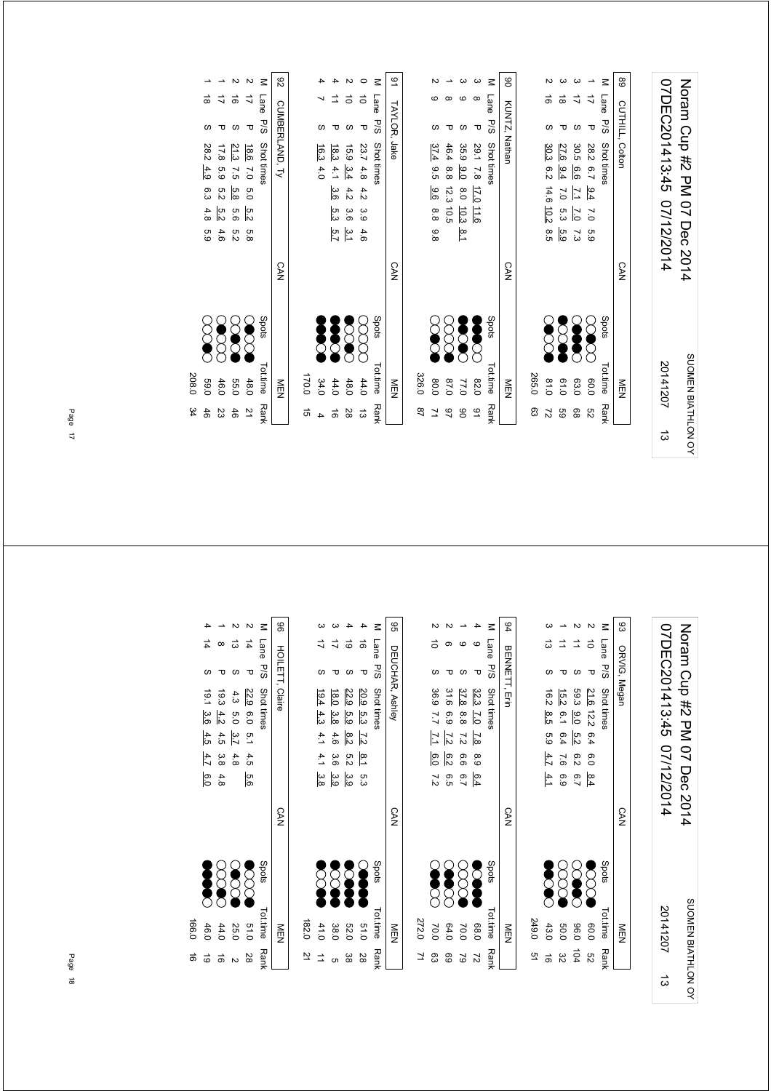| 07DEC201413:45 07/12/2014 | Noram Cup #2 PM 07 Dec 2014 |
|---------------------------|-----------------------------|
| 20141207                  | SUOMEN BIATHLON OY          |
|                           |                             |

|     | Tattime Dan't | כי<br>וו      |            | M I I コう Chattistan                   |        |
|-----|---------------|---------------|------------|---------------------------------------|--------|
|     | NEN           |               | <b>CAN</b> | KUNTZ, Nathan                         | S      |
| စ္ထ | 265.0         |               |            |                                       |        |
| 27  | 61.0          | <b>SSS</b>    |            | đ<br>30.3 6.2 14.6 10.2 8.5           |        |
| GS  | 0.10          | 2002          |            | ಹ<br>27.6 9.4<br>7.0 5.3 5.9          |        |
| 88  | 63.0          | <b>Second</b> |            | 30.5 6.6<br>$\overline{L}$<br>2.0 7.3 |        |
| S2  | 0.08          | 2000          |            | Δ<br>28.2 6.7<br>$-9.4$<br>7.0 5.9    |        |
|     | Tot.time Rank | Spots         |            | Lane P/S<br>Shot times                | $\leq$ |
|     | NEN<br>N      |               | <b>CAN</b> | <b>CUTHILL, Colton</b>                | 68     |
|     |               |               |            |                                       |        |

|       |      |                         |                                    |          | ζ               | 91           |               |         |               |                                                                                   | ω              | $\leq$     | 8             |
|-------|------|-------------------------|------------------------------------|----------|-----------------|--------------|---------------|---------|---------------|-----------------------------------------------------------------------------------|----------------|------------|---------------|
|       |      |                         | ਠੋ                                 | ਠੋ       | Lane            |              |               |         |               |                                                                                   |                | Lane       |               |
|       |      |                         | S                                  | τ        | <b>P/S</b>      | TAYLOR, Jake |               |         |               | ഗ                                                                                 | τ              | P/S        |               |
|       | 16.3 | $\frac{15.9}{18.3}$ 4.1 |                                    | 23.7 4.8 | Shot times      |              |               | 37.4    | 46.4          | 35.9                                                                              | 29.1 7.8 17.0  | Shot times | KUNTZ, Nathan |
|       | 4.0  |                         |                                    |          |                 |              |               | .<br>ფე |               |                                                                                   |                |            |               |
|       |      | 3.6                     | 4.2                                | 4.2      |                 |              |               | ခြ      |               | $17.8$ $\frac{17.0}{8.0}$ $\frac{11.6}{10.3}$<br>$99.0$ $8.0$ $\frac{10.3}{10.5}$ |                |            |               |
|       |      |                         |                                    |          |                 |              |               | 8.8 9.8 |               |                                                                                   |                |            |               |
|       |      |                         | $4 \frac{3}{4}$<br>$6 \frac{1}{4}$ |          |                 |              |               |         |               | ¦∞<br>—                                                                           |                |            |               |
|       |      |                         |                                    |          |                 | <b>CAN</b>   |               |         |               |                                                                                   |                |            | <b>CAN</b>    |
|       | Į    | $\sum_{i=1}^{n}$        | ္ခ                                 |          | Spots           |              |               |         |               | 3                                                                                 |                | Spots      |               |
| 170.0 | 34.0 | 44.0                    | 48.0                               | 44.0     | <b>Tot.time</b> | MEN          | 326.0         | 0.08    | 0.78          | 77.0                                                                              | 0.28           | ot.time    | NEN           |
| 5Ì    |      | ಕ                       | 28                                 | ದ        | <b>Rank</b>     |              | $\frac{8}{2}$ |         | $\frac{6}{5}$ | 80                                                                                | $\overline{6}$ | Rank       |               |

|        |               |          |                                                       | <b>CAN</b> |              |             |                |
|--------|---------------|----------|-------------------------------------------------------|------------|--------------|-------------|----------------|
| 82     |               |          | CUMBERLAND, Ty                                        |            |              | NEN         |                |
| $\leq$ | Lane          |          | P/S Shot times                                        |            | <b>Spots</b> | Tot.time    | <b>Rank</b>    |
|        |               | π        | $\frac{5.2}{5}$<br>o.<br>8                            |            |              | 48.0        | $\overline{2}$ |
|        | đ             |          | $\frac{18.6}{21.3}$ 7.5 $5.8$<br>9.5<br>$\frac{5}{2}$ |            | 888          | <b>D.50</b> | 46             |
|        |               |          | 17.8 5.9<br>5.2<br>$\frac{5}{2}$<br>4.6               |            |              | 46.0        | ಜ              |
|        | $\frac{1}{8}$ | $\omega$ | 28.2 4.9 6.3 4.8 5.9                                  |            | 8<br>2       | 0'69        | 46             |

P/S Shot times  $\sim$  Spots Tot.time Rank 208.0 34 208.0 34

> Noram Cup #2 PM 07 Dec 2014<br>07DEC201413:45 07/12/2014 07DEC201413:45 07/12/2014 Noram Cup #2 PM 07 Dec 2014 SUOMEN BIATHLON OY SUOMEN BIATHLON OY 20141207ದ

| 83     |             | ORVIG, Megan |                                                            | <b>CAN</b> |                       |  |
|--------|-------------|--------------|------------------------------------------------------------|------------|-----------------------|--|
| $\leq$ | Lane<br>P/S |              | Shot times                                                 |            | Spots                 |  |
|        | $\vec{0}$   | ᠊ᠣ           | 21.6 12.2 6.4 6.0 8.4                                      |            | $\sum_{i=1}^{\infty}$ |  |
|        | ⇉           |              | 59.3<br>$\frac{9.0}{2}$<br>ra<br>N<br>6.2<br>$\frac{6}{7}$ |            |                       |  |
|        |             |              | 15.2<br>$\frac{6}{7}$<br>6.4 7.6<br>$\overline{6}$         |            |                       |  |
|        | ದ           |              | 16.2 8.5<br>5.9 $4.7$ 4.1                                  |            | <b>SCAR</b>           |  |
|        |             |              |                                                            |            |                       |  |

|       |                 |                 |                |         |                   | 94            |
|-------|-----------------|-----------------|----------------|---------|-------------------|---------------|
|       |                 |                 |                | C       | Lane P/S          |               |
|       |                 |                 |                | ᠊ᠣ      |                   |               |
|       | 36.9 7.7        | 31.6            | 37.8           | 32.3    | Shot times        | BENNETT, Erir |
|       |                 | 6.9             | 8.8            |         |                   |               |
|       | $\overline{L}$  | $\overline{25}$ | $\overline{2}$ | 7.0 7.8 |                   |               |
|       | $\frac{6}{0}$   | 6.2             | 9.9            | 8.9     |                   |               |
|       | $\frac{7}{2}$   | ე<br>ე          | 6.7            | 6.4     |                   |               |
|       |                 |                 |                |         |                   | CAN           |
|       |                 | <b>SS</b><br>88 | cooo           | S       | stod <sub>S</sub> |               |
| 272.0 | 10 <sub>1</sub> | 64.0            | 70.0           | 68.0    | Tot.time          |               |
|       | ဥ္ပ             | ගි              | $\approx$      | 2       | <b>Rank</b>       |               |

| $\vec{u}$<br>$\vec{u}$<br>d)<br>ಠ<br>᠊ᠣ<br>S<br>Shot times<br>18.0<br>22.9<br>20.9 5.3<br>19.4<br>4.3<br>.<br>თ<br>მ<br>$\frac{3.8}{8}$<br>4.1 4.1 3.8<br>$\overline{27}$<br>$\frac{8}{3}$<br>4.6 3.6<br>.<br>ס'ס<br>$8.1\,5.3$<br>3.9<br>မ္မ | 96<br>z | Lane<br>DEUCHAR, Ashley<br>P/S |
|-----------------------------------------------------------------------------------------------------------------------------------------------------------------------------------------------------------------------------------------------|---------|--------------------------------|
|                                                                                                                                                                                                                                               |         |                                |
|                                                                                                                                                                                                                                               |         |                                |
|                                                                                                                                                                                                                                               |         |                                |
|                                                                                                                                                                                                                                               |         |                                |
|                                                                                                                                                                                                                                               |         |                                |
|                                                                                                                                                                                                                                               |         |                                |

|       |          |               |        |             | $\leq$      | 96              |
|-------|----------|---------------|--------|-------------|-------------|-----------------|
|       |          |               | ದ      | 14          | Lane        |                 |
|       |          | τ             |        | Δ           | P/5         |                 |
|       | 19.1 3.6 | 63            | 4.3    | 22.9        | Shot times  | HOILETT, Claire |
|       |          | $rac{4.2}{4}$ | 5.0    |             |             |                 |
|       | 4.54.7   |               | 3.74.8 | 6.0 5.1 4.5 |             |                 |
|       |          | 4.5 3.8       |        |             |             |                 |
|       | 6.0      | 4.8           |        | 9.6         |             |                 |
|       |          |               |        |             |             | <b>CAN</b>      |
|       |          | 388           |        | $\delta$    | Spots       |                 |
| 166.0 | 46.0     | 44.0          | 25.0   | 51.0        | Tot.time    | NEN             |
| ಹೆ    | ಠ        | ಹ             |        | 28          | <b>Rank</b> |                 |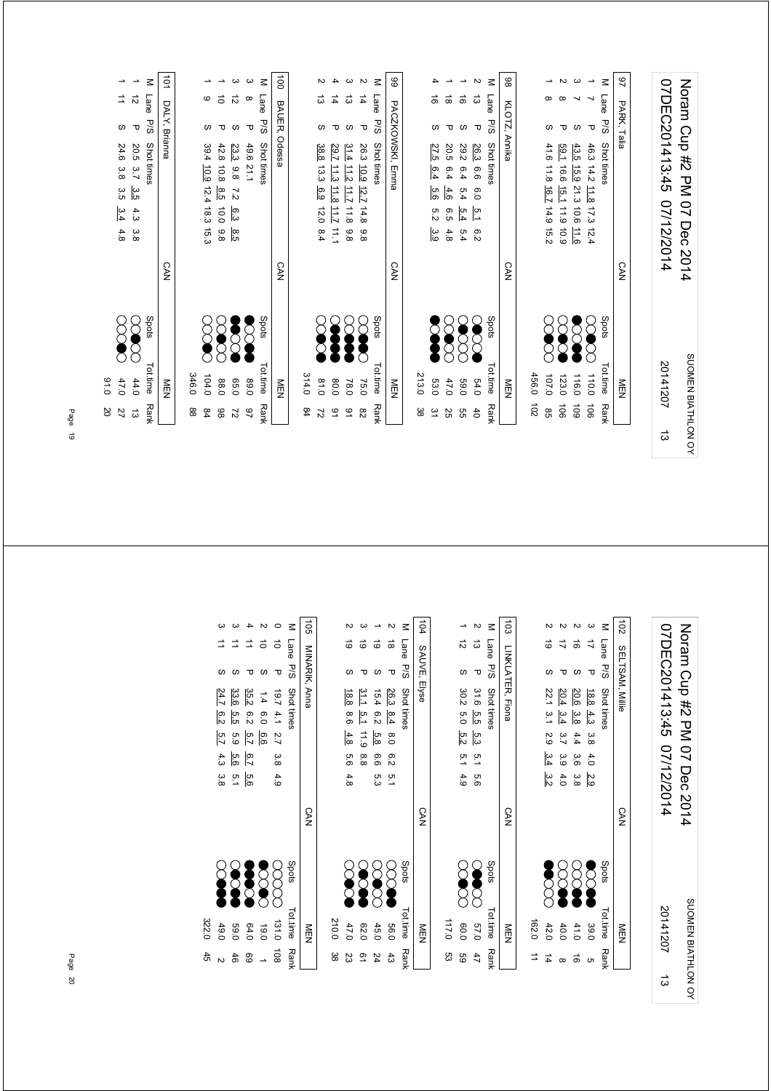|                          |           |               | Noram Crip #2 PM<br>07 Dec 2014                            |            |       |               | SUOMEN BIATHLON O     |  |
|--------------------------|-----------|---------------|------------------------------------------------------------|------------|-------|---------------|-----------------------|--|
|                          |           |               | 07DEC201413:45<br>07/12/2014                               |            |       | 20141207      | ದ                     |  |
|                          |           |               |                                                            |            |       |               |                       |  |
| $\overline{6}$           |           | PARK, Talia   |                                                            | <b>CAN</b> |       | 目型            |                       |  |
| $\leq$                   | Lane      | P/S           | Shot times                                                 |            | Spots | Tot.time      | <b>Rank</b>           |  |
| $\overline{\phantom{a}}$ |           | τ             | 46.3<br>14.2<br>$\frac{11.8}{2}$<br>17.3<br>$\vec{v}$<br>4 |            | سم    | 110.0         | $\overrightarrow{90}$ |  |
|                          |           | ဖ             | 43.5<br>15.9<br>21.3<br>10.6<br>$\frac{11.6}{2}$           |            |       | 116.0         | 601                   |  |
| $\sim$ $\omega$          | $\infty$  | τ             | 59.1<br>16.6<br>15.1<br>11.9<br>6.01                       |            |       | 123.0         | $\overrightarrow{90}$ |  |
| ∸                        | $\infty$  | ဖ             | 41.6<br>11.8<br>16.7<br>14.9<br>15.2                       |            |       | 107.0         | $95^{\circ}$          |  |
|                          |           |               |                                                            |            |       | 456.0         | $\overline{5}$        |  |
| 88                       |           | KLOTZ, Annika |                                                            | <b>CAN</b> |       | NEN           |                       |  |
| $\leq$                   | Lane      | P/S           | Shot times                                                 |            | Spots | Tottime       | Rank                  |  |
| $\mathbf{v}$             | ದ         | ᠊ᠣ            | 26.3<br>6.6<br>0.9<br>Σq<br>ၜ<br>Ň                         |            |       | 64.0          | $\overline{6}$        |  |
| $\overline{\phantom{a}}$ | ಹ         | ဖ             | 29.2<br>6.4<br>5.4<br>5.4<br>5.4                           |            |       | 0'69          | GG                    |  |
|                          | ಹ         | ᠊ᠣ            | 20.5<br>6.4<br>4.6<br>6.5<br>4.8                           |            |       | 47.0          | 25                    |  |
| 4                        | ಹೆ        | ဖ             | 27.5<br>6.4<br>5.6<br>5.2<br>ာ<br>၁၂                       |            |       | 53.0          | 31                    |  |
|                          |           |               |                                                            |            |       | 213.0         | ಜ                     |  |
| 8                        |           | PACZKOWSKI,   | Emma                                                       | <b>CAN</b> |       | NEN           |                       |  |
| $\leq$                   | Lane      | P/S           | Shot times                                                 |            | Spots | Tot time      | <b>Rank</b>           |  |
| $\sim$                   | $\vec{4}$ | τ             | 26.3<br>10.9<br><u>12.7</u><br>14.8<br>8.8                 |            |       | 75.0          | $\frac{8}{2}$         |  |
| ω                        | ದ         | ဖ             | 31.4<br>$\frac{112}{2}$<br>ΞI<br>11.8<br>8.8               |            |       | 78.0          | 91                    |  |
| 4                        | 4         | ᠊ᠣ            | 29.7<br>$\frac{11}{3}$<br>11.8<br>11.7<br>$\frac{1}{2}$    |            |       | 0.08          | $\overline{6}$        |  |
| N                        | ದ         | ഗ             | 38.8<br>13.3<br>6.9<br>12.0<br>8.4                         |            |       | 0.18          | $\overline{z}$        |  |
|                          |           |               |                                                            |            |       | 314.0         | $^{84}$               |  |
| $\vec{a}$                |           | BAUER,        | Odessa                                                     | <b>CAN</b> |       | $\frac{8}{2}$ |                       |  |
| $\leq$                   | Lane      | P/S           | Shot times                                                 |            | Spots | Tot.time      | Rank                  |  |
| ယ                        | $\infty$  | τ             | 49.6 21.1                                                  |            |       | 0'68          | $\overline{2}$        |  |
| ယ                        | ನ         | ဖ             | 23.3<br>86<br>$\overline{z}$<br>6.3<br>8.5                 |            |       | 05.0          | 27                    |  |
|                          | ਠੋ        | ᠊ᠣ            | 42.8<br>10.8<br>8.5<br>10.0<br>$\frac{8}{6}$               |            |       | 88.0          | 86                    |  |
|                          | ဖ         | ဖ             | 39.4<br>10.9<br>12.4<br>18.3<br>15.3                       |            |       | 104.0         | $^{84}$               |  |
|                          |           |               |                                                            |            |       | 346.0         | 88                    |  |

SUOMEN BIATHLON OY

SUOMEN BIATHLON OY

SUOMEN BIATHLON OY

 $\vec{\omega}$ 

Noram Cup #2 PM 07 Dec 2014

Noram Cup #2 PM 07 Dec 2014

Page 19

91.0 20

Spots<br>
COOO 44.0 13<br>
COOO 47.0 27<br>
COOO 91.0 20

101 DALY, Brianna

DALY, Brianna

M Lane P/S Shot times<br>1 12 P 20.5 3.7 <u>3.5</u> 4.3 3.8<br>1 11 S 24.6 3.8 3.5 <u>3.4</u> 4.8

CAN

P/S Shot times Shots Shots Tot.time Rank

 13 3.8 4.3 3.7 44.0 3.5 1 12 P 20.5 1  $24.6$  3.8  $3.5$  3.4  $4.8$ <br>1  $27.0$  27.6 27

MEN

| $\overline{0}$<br>ယ<br>$\leq$<br>ミ<br>Lane        | SELTSAM, Millie<br>P/S<br>τ | 07DEC201413:45<br>Shot times<br>18.8<br>$4.3$<br>3.8<br>1/12/2014<br>4.0<br>2.9                                  | <b>CAN</b> | Spots<br>20141207<br>Tot.time<br>39.0<br>NEN |
|---------------------------------------------------|-----------------------------|------------------------------------------------------------------------------------------------------------------|------------|----------------------------------------------|
| $\sim$<br>$\sim$<br>$\overline{c}$<br>ಠ<br>⇉<br>ಹ | ဖ<br>᠊ᠣ<br>ဖ                | 20.6<br>22.1<br>20.4<br>3.4<br>$\tilde{5}$<br>ဖွဲ<br>3.7<br>4.4<br>2.9<br>3.4<br>3.9<br>3.6<br>3.2<br>4.0<br>3.8 |            |                                              |
| to <sub>3</sub>                                   |                             | LINKLATER, Fiona                                                                                                 | <b>CAN</b> |                                              |
| $\leq$<br>Lane                                    | <b>P/S</b>                  | Shot times                                                                                                       |            | Spots                                        |
| $\sim$<br>∸<br>ನ<br>ದ                             | τ<br>ဖ                      | 31.6<br>30.2<br>5.5<br>6.0<br>5.2<br>5.3<br>5.1<br>5.1<br>4.9<br>9.9                                             |            |                                              |
| 104<br>$\leq$<br>Lane                             | SAUVE, Elyse<br>P/S         | Shot times                                                                                                       | <b>SAN</b> | Spots                                        |
| Z<br>ಹ                                            | τ                           | 26.3<br>8.4<br>$\frac{8}{0}$<br>6.2<br>$\overline{5}$                                                            |            |                                              |
| $\overline{\phantom{a}}$<br>ౚ                     | ဖ                           | 15.4<br>6.2<br>5.8<br>6.6<br>5.3                                                                                 |            |                                              |
| ω<br>N<br>ಠ<br>ၜ                                  | ဖ<br>᠊ᠣ                     | 31.1<br>18.8<br>$\frac{5}{1}$<br>8.6<br>11.9<br>4.8<br>8.8<br>9.9<br>4.8                                         |            |                                              |
|                                                   |                             |                                                                                                                  |            |                                              |
| dS<br>$\leq$<br>Lane                              | MINARIK, Anna<br>P/S        | Shot times                                                                                                       | <b>CAN</b> | Spots                                        |
| ਠ                                                 | τ                           | $\overline{19.7}$<br>4.1<br>$\overline{2.7}$<br>3.8<br>4.9                                                       |            |                                              |
| $\sim$ 0<br>ਠੋ                                    | ဖ                           | 1.4<br>6.0<br>9.9                                                                                                |            |                                              |
| $\overline{\phantom{a}}$                          | τ                           | 35.2<br>8.2<br>$\overline{5.7}$<br>$\overline{5.7}$<br>5.6                                                       |            |                                              |
| ω                                                 | ဖ                           | 33.6<br>5.5<br>63<br>5.6<br>$\overline{5}$ .1                                                                    |            |                                              |
| ω                                                 | ဖ                           | 24.7<br>6.2<br>5.7<br>4.3<br>3.8                                                                                 |            |                                              |
|                                                   |                             |                                                                                                                  |            |                                              |

Page 20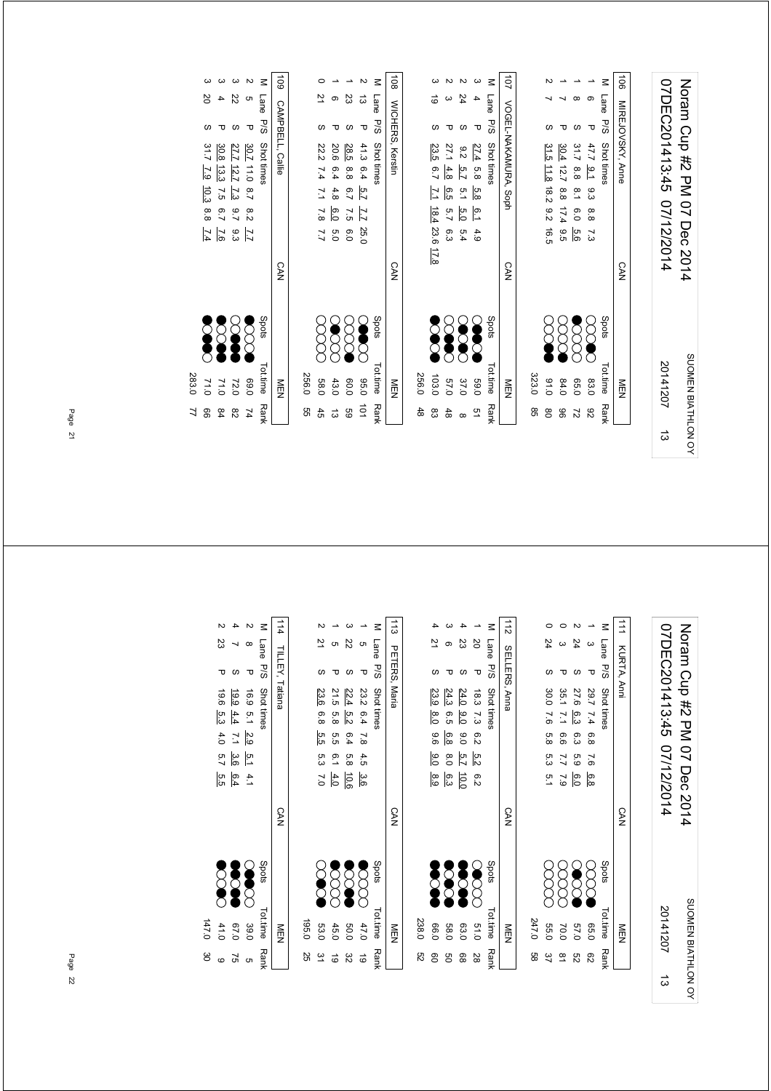| 07DEC201413:45 07/12/2014 | Notam Cup #2 PM 07 Dec 2014 |
|---------------------------|-----------------------------|
| 20141207                  | SUOMEN BIATHLON OY          |
| ದ                         |                             |

|    | NEN           |                       | <b>CAN</b> | 107 VOGEL-NAKAMURA, Soph                 |
|----|---------------|-----------------------|------------|------------------------------------------|
| 85 | 323.0         |                       |            |                                          |
| 8O | 0.16          | $\sum_{\blacksquare}$ |            | 31.5 11.8 18.2 9.2 16.5                  |
| 96 | 84.0          | 8<br>8                |            | 30.4 12.7 8.8 17.4 9.5                   |
| 27 | 0.50          | <b>SSS</b>            |            | 31.7 8.8 8.1 6.0 5.6                     |
| 82 | 83.0          | $\infty$              |            | ᠊ᠣ<br>47.7 9.1 9.3 8.8 7.3               |
|    | Tot.time Rank | Spots                 |            | $\leq$<br>Lane P/S Shot times            |
|    | MEN<br>N      |                       | <b>CAN</b> | $\overrightarrow{5}$<br>MIREJOVSKY, Anne |

| -108 MICHERS, Kerstin |       |                    |                   | 24                    |                      | M Lane D/S Shot times | 107<br> 107<br> 100mL-NAKAMURA, 30ph |
|-----------------------|-------|--------------------|-------------------|-----------------------|----------------------|-----------------------|--------------------------------------|
|                       |       |                    |                   |                       | τ                    |                       |                                      |
|                       |       | 23.5 6.7           | 27.1              | $9.2 \frac{5.7}{2.7}$ |                      |                       |                                      |
|                       |       |                    | $\frac{4.8}{4.8}$ |                       |                      |                       |                                      |
|                       |       | 7.1 18.4 23.6 17.8 | 6.5 5.7 6.3       | 5.1 5.0 5.4           | 27.4 5.8 5.8 6.1 4.9 |                       |                                      |
|                       |       |                    |                   |                       |                      |                       |                                      |
|                       |       |                    |                   |                       |                      |                       |                                      |
|                       |       |                    |                   |                       |                      |                       |                                      |
| <b>CAN</b>            |       |                    |                   |                       |                      |                       | <b>CAN</b>                           |
|                       |       |                    |                   |                       |                      |                       |                                      |
|                       |       |                    |                   |                       |                      | Spots                 |                                      |
|                       |       | <b>SSS</b>         | <b>SOUT</b>       | <b>SOOC</b>           | <b>SOOO</b>          |                       |                                      |
|                       |       |                    |                   |                       |                      |                       |                                      |
| M⊟N                   | 256.0 | 103.0              | 0'49              | 37.0                  | 0.69                 | Tot.time Rank         | NEN                                  |
|                       | 48    |                    | 48                |                       | $\overline{a}$       |                       |                                      |
|                       |       | ထိ                 |                   | $\infty$              |                      |                       |                                      |

| 108 |                       |    | <b>NICHFIXS, Keratin</b> |                       |        | CAN |                       | 一             |                |
|-----|-----------------------|----|--------------------------|-----------------------|--------|-----|-----------------------|---------------|----------------|
|     | M Lane P/S Shot tines |    |                          |                       |        |     | Spots                 | Totitime Rank |                |
|     | ದ                     | ᠊ᠣ |                          | 41.3 6.4 5.7 7.7 25.0 |        |     | <b>SOO</b>            | 0.96          | $\overline{0}$ |
|     | 23                    |    |                          | 28.5 8.8 6.7 7.5 6.0  |        |     | $\sum_{i=1}^{\infty}$ | 0.09          | GG             |
|     |                       |    |                          | 20.6 6.4 4.8 6.0      | o<br>O |     | <b>SSSS</b>           | 43.0          | ದ              |
|     | Ņ                     |    |                          | 22.2 7.4 7.1 7.8 7.7  |        |     | 8<br>8                | <b>58.0</b>   |                |
|     |                       |    |                          |                       |        |     |                       | 256.0         | 9g             |
|     |                       |    |                          |                       |        |     |                       |               |                |

|       |                      |                |                                                                                                   |          | $\leq$      | 601              |
|-------|----------------------|----------------|---------------------------------------------------------------------------------------------------|----------|-------------|------------------|
|       | ΣÓ                   |                | 22                                                                                                | G        | Lane        |                  |
|       |                      |                |                                                                                                   | τ        | 9/S         |                  |
|       | 31.7<br>7.9 10.3 8.8 | $\overline{2}$ | $\frac{30.7}{27.7}$ 11.2<br>$\frac{27.7}{20.8}$ 13.3<br>$\frac{30.8}{20.8}$ 7.5<br>$\overline{6}$ | 8.2      | Shot times  | CAMPBELL, Callie |
|       | FZ 1                 | $\overline{5}$ | .<br>6.3                                                                                          | 77       |             |                  |
|       |                      |                |                                                                                                   |          |             | CAN              |
|       |                      | <b>888</b>     |                                                                                                   | $\delta$ | Spots       |                  |
| 283.0 | 71.0                 | 210            | 72.0                                                                                              | 0.69     | Totitime    | ≧□               |
|       | ၜၟ                   | 84             | 82                                                                                                | 74       | <b>Rank</b> |                  |
|       |                      |                |                                                                                                   |          |             |                  |

Noram Cup #2 PM 07 Dec 2014<br>07DEC201413:45 07/12/2014 07DEC201413:45 07/12/2014 Noram Cup #2 PM 07 Dec 2014 SUOMEN BIATHLON OY SUOMEN BIATHLON OY 20141207

ದ

|               | $\vdots$         |        | $\vdots$   |     |         |                 |                      |                     |    | $\ddot{\phantom{a}}$ |
|---------------|------------------|--------|------------|-----|---------|-----------------|----------------------|---------------------|----|----------------------|
|               |                  |        |            |     |         |                 |                      |                     |    |                      |
| 9g            | 247.0            |        |            |     |         |                 |                      |                     |    |                      |
| 37            | <b>55.0</b>      | 8      |            |     |         | 7.6 5.8 5.3 5.1 | 30.0                 |                     | 24 |                      |
| $\frac{8}{2}$ | 70.0             | 8<br>8 |            |     |         | 6.5 7.7 7.9     | 35.1 7.1             |                     |    |                      |
| ლ<br>ს        | 0'29             | SOO    |            | 6.0 | 6.3 5.9 |                 | 27.6 6.3             |                     | 24 |                      |
| ద్ది          | 0.5 <sub>0</sub> | gg     |            |     |         |                 | 29.7 7.4 6.8 7.6 6.8 | Δ                   |    |                      |
|               | Tot.time Rank    | spots  |            |     |         |                 |                      | Lane P/S Shot times |    | $\leq$               |
|               | NEN              |        | <b>CAN</b> |     |         |                 |                      | 111 KURTA, Anni     |    |                      |

|       |               |                   |                |          |             | $\frac{1}{2}$ |
|-------|---------------|-------------------|----------------|----------|-------------|---------------|
|       |               |                   | 23             | 2Q       | Lane<br>P/S |               |
|       |               |                   |                | τ        |             |               |
|       | 23.9          | 24.3              | 24.0           | 18.3 7.3 | Shot times  | SELLERS, Anna |
|       | $\frac{8}{6}$ | 6.5               | $\frac{6}{10}$ |          |             |               |
|       | 9.6           | 6.8               | $\frac{6}{5}$  | ო<br>ა   |             |               |
|       | 0.0           | $\frac{8}{0}$     | 5.7            | ra<br>Vi |             |               |
|       | 8.9           | 6.3               | $\overline{5}$ | e.z      |             |               |
|       |               |                   |                |          |             | SAN           |
|       |               | <b>888</b><br>282 |                | ECC      | Spots       |               |
| 238.C | 0.60          | <b>58.C</b>       | 03.0           | 21.0     | Tot.time    | ≦<br>ሟ        |
| ని    |               | ၶ                 | 89             | 28       | Rank        |               |

| $\ddot{\phantom{a}}$                             |       |             |                       |             |             |               | $\frac{1}{3}$ |
|--------------------------------------------------|-------|-------------|-----------------------|-------------|-------------|---------------|---------------|
|                                                  |       |             | Cη                    | Z2          |             | M Lane        |               |
| $\begin{bmatrix} 1 \\ 1 \\ 1 \\ 1 \end{bmatrix}$ |       |             |                       |             |             | P/S           |               |
|                                                  |       | 23.6        | 21.5 5.8              | 22.4        | 23.2 6.4    | Shot times    | PETERS, Maria |
|                                                  |       | 6.8         |                       | .<br>ס'ט    |             |               |               |
|                                                  |       | 5.5 5.3 7.0 | ე<br>ე                | 6.4         | 7.8 4.5 3.6 |               |               |
|                                                  |       |             | $6.1 + 4.0$           | 5.8 10.6    |             |               |               |
|                                                  |       |             |                       |             |             |               |               |
| $\vdots$                                         |       |             |                       |             |             |               | <b>CAN</b>    |
|                                                  |       | <b>200</b>  | $\sum_{i=1}^{\infty}$ | <b>2000</b> | <b>SSS</b>  | spots         |               |
| $\vdots$                                         | 195.0 | 53.0        | 45.0                  | 009         | 47.0        | Tot.time Rank | 三四            |
|                                                  | 25    | $\approx$   | ಠ                     | జ           | <u>ය</u>    |               |               |

|       |           |                 |                 | Μ          | $-114$          |
|-------|-----------|-----------------|-----------------|------------|-----------------|
|       | 23        |                 |                 | Lane       |                 |
|       | ᠊ᠣ        |                 | Δ               | .<br>ამ    |                 |
|       | 19.6      | 19.9            | 16.9 5.1        | Shot times | TILLEY, Tatiana |
|       | ှ<br>မိ   | 4.4             |                 |            |                 |
|       | 4.0       | $\overline{11}$ | $\frac{2.9}{2}$ |            |                 |
|       | 5.7       | 3.6             | $\frac{5}{1}$   |            |                 |
|       | ო<br>თ    | 6.4             | 4.1             |            |                 |
|       |           |                 |                 |            | <b>CAN</b>      |
|       | <b>SS</b> | 38              |                 | Spots      |                 |
|       |           |                 |                 |            |                 |
| 147.0 | 41.0      | 0.70            | 39.0            | Tot.time   | MEN<br>E        |
| မ္တ   | œ         | 3               | CΠ              | Rank       |                 |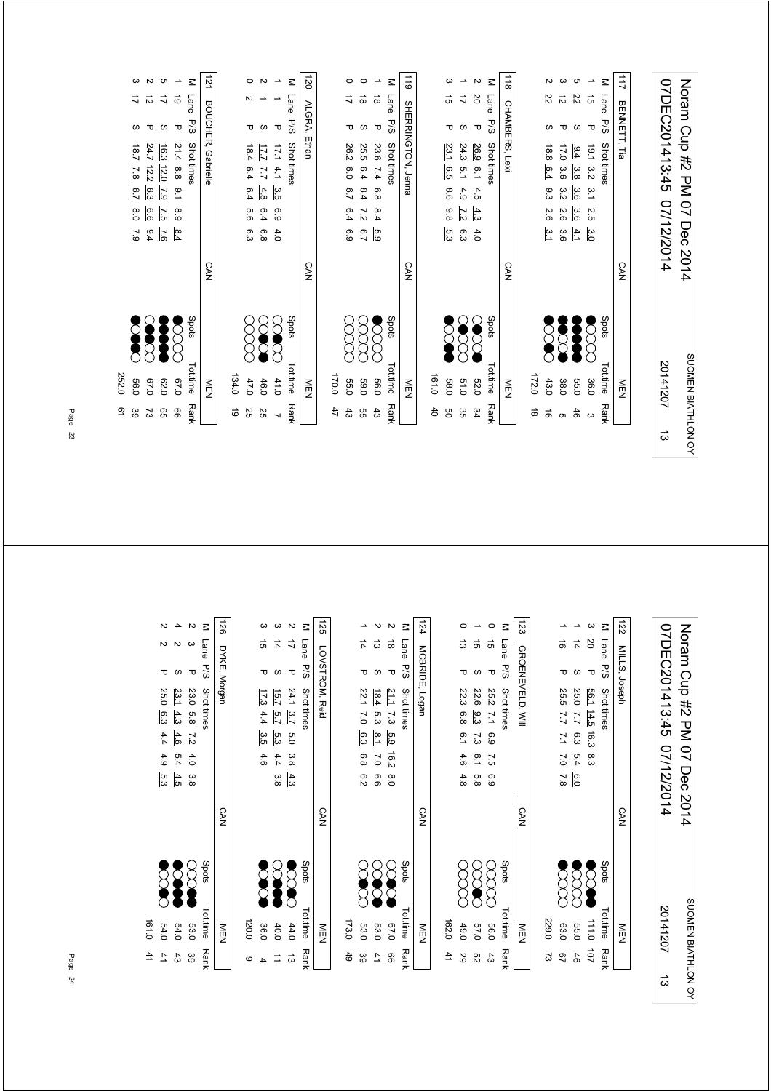|                          |                     |                  | Noram Cup #2 PM 07                                         | Dec 2014   | <b>SUUNEN BIAI HLUN</b> |                          |   |
|--------------------------|---------------------|------------------|------------------------------------------------------------|------------|-------------------------|--------------------------|---|
|                          |                     |                  | 07DEC201413:45<br>07/12/2014                               |            | 20141207                |                          | ದ |
|                          |                     |                  |                                                            |            |                         |                          |   |
| 211                      |                     | BENNETT,         | Τia                                                        | <b>CAN</b> | NEN                     |                          |   |
| Σ                        | Lane                | P/S              | Shot times                                                 |            | Spots<br>Tot.time       | Rank                     |   |
| ∸                        | $\vec{q}$           | ᠊ᠣ               | 1.61<br>$\frac{3}{2}$<br>$\tilde{c}$<br>$\sim$<br>்<br>3.0 |            | 36.0                    | $\omega$                 |   |
| Uл                       | $\rm 22$            | S                | 6.4<br>3.8<br>3.6<br>3.6<br>$\frac{4}{1}$                  |            | 55.0                    | 46                       |   |
| ယ                        | $\vec{\mathcal{D}}$ | ᠊ᠣ               | 17.0<br>3.6<br>3.2<br>2.6<br>3.6                           |            | 38.0                    | ຕ.                       |   |
| $\mathbf{v}$             | 22                  | ဖ                | 18.8<br>6.4<br>93<br>2.6<br>ت<br>∟                         |            | 43.0                    | $\vec{0}$                |   |
|                          |                     |                  |                                                            |            | 172.0                   | $\vec{a}$                |   |
| $\frac{1}{8}$            |                     |                  | CHAMBERS, Lexi                                             | <b>CAN</b> | <b>NEN</b>              |                          |   |
| $\leq$                   | Lane                | <b>P/S</b>       | Shot times                                                 |            | Spots<br>Tot.time       | Rank                     |   |
| $\overline{\mathsf{c}}$  | SO                  | $\mathbf \sigma$ | 26.9<br>$^{0.1}$<br>4.5<br>$\frac{4}{3}$<br>4.0            |            | 030                     | 34                       |   |
| $\overline{\phantom{0}}$ | $\vec{\mathcal{L}}$ | ဖ                | 24.3<br>$\overline{5}$<br>4.9<br>$\overline{2}$<br>و.<br>و |            | 015                     | ვg                       |   |
| ω                        | ದ                   | ᠊ᠣ               | 23.1<br>6.5<br>8.6<br>8.8<br>5.3                           |            | 161.0<br><b>58.0</b>    | SO<br>4                  |   |
| $\frac{1}{2}$            |                     |                  | SHERRINGTON, Jenna                                         | CAN        | NEN                     |                          |   |
| Μ                        | Lane                | P/S              | Shot times                                                 |            | Spots<br>Tot.time       | Rank                     |   |
| $\overline{\phantom{a}}$ | $\vec{a}$           | τ                | 23.6<br>7.4<br>6.8<br>8.4<br>5.9                           |            | 0.95                    | 33                       |   |
| $\circ$                  | $\vec{\infty}$      | ဖ                | 25.5<br>6.4<br>6.4<br>$\overline{z}$<br>$\overline{2}$     |            | 0'69                    | 9S                       |   |
| $\circ$                  | ゴ                   | ᠊ᠣ               | 26.2<br>6.0<br>$\overline{6.7}$<br>6.4<br>6.9              |            | 0.051<br><b>55.0</b>    | 47<br>$43\,$             |   |
| 120                      |                     | ALGRA,           | Ethan                                                      | <b>CAN</b> | NEN                     |                          |   |
| $\leq$                   | Lane                | P/S              | Shot times                                                 |            | Spots<br>Tottime        | Rank                     |   |
| $\overline{\phantom{a}}$ |                     | ᠊ᠣ               | 1.71<br>4.1<br>3.5<br>6.9<br>4.0                           |            | 41.0                    | $\overline{\phantom{0}}$ |   |
| Z                        |                     | S                | 17.7<br>7.7<br>4.8<br>6.4<br>6.8                           |            | 46.0                    | 25                       |   |
| $\circ$                  | N                   | ᠊ᠣ               | 18.4<br>6.4<br>6.4<br>9.9<br>6.3                           |            | 47.0                    | 25                       |   |
|                          |                     |                  |                                                            |            | 134.0                   | ಠ                        |   |
| 21                       |                     | BOUCHER,         | Gabrielle                                                  | <b>CAN</b> | NEN                     |                          |   |
| Σ                        | Lane                | PS               | Shot times                                                 |            | Spots<br>Tot.time       | Rank                     |   |
| ∸                        | ō                   | ᠊ᠣ               | 21.4<br>8.8<br>$^{16}$<br>8.9<br>$\frac{8.4}{3}$           |            | 0'29                    | 99                       |   |
| c                        | ミ                   | ဖ                | 16.3<br>12.0<br>7.9<br>7.5<br>$\overline{97}$              |            | 62.0                    | 95                       |   |
| $\sim$ $\sim$            | $\vec{z}$           | ᠊ᠣ               | 24.7<br>12.2<br>၉၁<br>ခြ<br>6.4                            |            | 0.70                    | 73                       |   |
|                          | ミ                   | w                | 18.7<br>7.8<br>6.7<br>0.8<br>$\overline{6}$                |            | 56.0                    | 39                       |   |

SUOMEN BIATHLON OY

SUOMEN BIATHLON OY

Page 23

252.0 61

252.0 **56.0** ය<br>ව

> M Lane P/S<br>0 15 P 126 DYKE, Morgan 123 M Lane P/S Shot times<br>  $3$  20 P 56.1 14.5 122 MILLS, Joseph 124 MCBRIDE, Logan  $\sim$  $\sigma$  4 M Lane P/S  $\boldsymbol{\omega}$  $\omega$  $\sim$ M Lane P/S Shot times 125 LOVSTROM, Reid  $\rightarrow$  N  $\sim$ M Lane P/S Shot times  $\circ$   $\rightarrow$  $\rightarrow$ 07DEC201413:45 07/12/2014  $\rightarrow$ Noran Cup #2 PM 07 Dec 2014 2 2 P 2.5.0 6.3 4.4 4.9 5.3 P 2.4 2.4 2.4 P 2.4 2.4 2.4 P 2.5 2.5 P 2.4 2.1 4 2 5.3.1 4.3 4.6 5.4 4.5 (2) 2 3.9 P 23.0 5.8 7.2 4.0 3.8 P 23.0 39 4 4.6 4.4 3 17.3 4.4 3 3.5 4.4 3 3.5 4.4 3.5 17.3 4.4 17.3 4.4 17.3 4.4 17.3 4.4 17.5 17.1 17.1 17.1 17.1 17.1 3 14 S 15.7 5.7 5.3 4.4 3.8 (XX) 2 17 P 24.1 3.7 5.0 3.8 4.3 P 24.0 13 1 4 P 22.1 7.0 6.3 6.8 6.2 (XXX) 53.0 39 2 13 S 18.4 5.3 8.1 7.0 6.6 (XX) 5.3 9.3.0 41 2 18 P 21.1 7.3 5.9 16.2 8.0 C X X ● 66<br>2 18 P 21.1 7.3 5.9 16.2 8.0 0 13 P 22.3 6.8 6.1 4.6 4.8 ( X X X X 49.0 29 52 5.8 6.1 9.3 57.0 7.3 1 15 S 22.6 0 15 P 25.2 7.1 6.9 7.5 6.9 C X X X X X 2.66 43 1 16 P 25.5 7.7 7.1 7.0 7.8<br>1 P 25.5 2.7 7.1 7.0 P 2.8 1 14 S5.0 25.0 7.7 6.0 6.0 6.0 CO 2.5 5.4 S  $3\,$   $10\,$  P  $1\,$   $10\,$  P  $2\,$   $3\,$   $3\,$   $3\,$   $3\,$   $3\,$   $3\,$   $3\,$   $3\,$   $3\,$   $3\,$   $3\,$   $3\,$   $3\,$   $3\,$   $3\,$   $3\,$   $3\,$   $3\,$   $3\,$   $3\,$   $3\,$   $3\,$   $3\,$   $3\,$   $3\,$   $3\,$   $3\,$   $3\,$   $3\,$   $3\,$   $3\,$ 07DEC201413:45 07/12/2014 Noram Cup #2 PM 07 Dec 2014  $\Rightarrow$  $\vec{\infty}$  $\sim$  $\overline{v}$  $\omega$  $rac{1}{4}$  $\frac{1}{4}$  $\vec{a}$   $\vec{a}$  $\frac{1}{4}$ GROENEVELD, WIII DYKE, Morgan LOVSTROM, Reid MCBRIDE, Logan GROENEVELD, Will MILLS, Joseph σωσ σω σ  $\circ$  $\bigtriangledown$  $\infty$   $\sigma$ P/S Shot times Shots Shots Tot.time Rank P/S Shot times  $\sim$  Shots Shots Tot.time P/S Shot times P/S Shot times Shots Shots Tot.time Rank ο σ Py Spots Tot.time Rank Shot times P/S Shot times  $\sim$  Shots Shots Tot.time P/S Shot times 24.1 3.7 5.0 3.8 4.3<br>15.7 5.7 5.3 4.4 3.8<br>17.3 4.4 3.5 4.6  $\frac{56.1}{25.0} \frac{14.5}{7.7} \frac{16.3}{6.3} \frac{8.3}{5.4}$ <br>25.0 7.7 6.3 5.4 <u>6.0</u><br>25.5 7.7 7.1 7.0 <u>7.8</u>  $\frac{23.0}{23.1} \frac{5.8}{4.3}$  7.2 4.6 5.4 4.5<br>23.1 4.3 4.6 5.4 4.5<br>25.0 6.3 4.4 4.9 5.3 25.2 7.1 6.9 7.5 6.9<br>22.6 <u>9.3</u> 7.3 6.1 5.8<br>22.3 6.8 6.1 4.6 4.8  $\begin{array}{cccc} 21.1 & 7.3 & \underline{5.9} & 16.2 & 8.0 \\ 18.4 & 5.3 & \underline{8.1} & 7.0 & 6.6 \\ 22.1 & 7.0 & \underline{6.3} & 6.8 & 6.2 \end{array}$ Shot times Shot times CAN CAN CAN CAN CAN  $\frac{00000}{00000}$ 38 888 stods  $\infty$ spots Spots Spots Spots **SOOOO**  $\sum_{i=1}^{n}$ **POOP 1110 Second**  $\sum_{i=1}^{n}$ SUOMEN BIATHLON OY Tot.time Rank Tot.time Rank Tot.time Rank 20141207 Tot.time Rank Tot.time Rank 2014120755.0 46<br>63.0 67<br>229.0 73 54.0 43<br>54.0 41<br>161.0 41  $40.0$ <br>36.0  $44.0$ 56.0 43<br>57.0 52<br>49.0 29<br>162.0 41 57.0<br>49.0 161.0 41 120.0 9 173.0 173.0 49 53.0 162.0 41 229.0 73 53.0 120.0 53.0 0'19 MEN MEN MEN MEN MEN  $101$  $823$ ಜ  $\frac{1}{20}$   $\frac{1}{2}$  4  $\frac{1}{4}$  $\vec{\omega}$